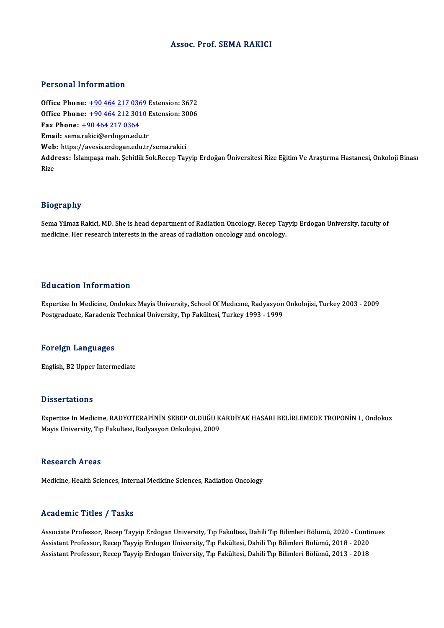### Assoc. Prof. SEMA RAKICI

#### Personal Information

Personal Information<br>Office Phone: <u>+90 464 217 0369</u> Extension: 3672<br>Office Phone: 190 464 212 2010 Extension: 2006 **Office Phone:** +90 464 217 0369 Extension: 3672<br>Office Phone: +90 464 212 3010 Extension: 3006<br>Eav Phone: +90 464 217 0264 Office Phone: <u>+90 464 217 036</u><br>Office Phone: <u>+90 464 212 301</u><br>Fax Phone: <u>+90 464 217 0364</u><br>Email: sema rakisi@ordogan.edu Office Phone:  $\pm 904642123010$  Extension: 3006<br>Fax Phone:  $\pm 904642170364$ <br>Email: sema[.rakici@erdogan.ed](tel:+90 464 217 0364)[u.tr](tel:+90 464 212 3010) Web: https://avesis.erdogan.edu.tr/sema.rakici Email: sema.rakici@erdogan.edu.tr<br>Web: https://avesis.erdogan.edu.tr/sema.rakici<br>Address: İslampaşa mah. Şehitlik Sok.Recep Tayyip Erdoğan Üniversitesi Rize Eğitim Ve Araştırma Hastanesi, Onkoloji Binası Web<br>Addı<br>Rize

#### Biography

Bi<mark>ography</mark><br>Sema Yilmaz Rakici, MD. She is head department of Radiation Oncology, Recep Tayyip Erdogan University, faculty of<br>medisine, Her research interests in the areas of redistion encology and encology. Brograpny<br>Sema Yilmaz Rakici, MD. She is head department of Radiation Oncology, Recep Tay<br>medicine. Her research interests in the areas of radiation oncology and oncology.

#### Education Information

E**ducation Information**<br>Expertise In Medicine, Ondokuz Mayis University, School Of Medıcıne, Radyasyon Onkolojisi, Turkey 2003 - 2009<br>Pestanaduata Kanadania Teshnisel University Tur Felsültesi Turkey 1993 - 1999 Pu u cutron Throf Mutron<br>Expertise In Medicine, Ondokuz Mayis University, School Of Medicine, Radyasyon<br>Postgraduate, Karadeniz Technical University, Tıp Fakültesi, Turkey 1993 - 1999 Postgraduate, Karadeniz Technical University, Tıp Fakültesi, Turkey 1993 - 1999<br>Foreign Languages

English,B2Upper Intermediate

#### **Dissertations**

Dissertations<br>Expertise In Medicine, RADYOTERAPİNİN SEBEP OLDUĞU KARDİYAK HASARI BELİRLEMEDE TROPONİN I , Ondokuz<br>Maris University Tın Felalitesi, Radyasyon Onkolojisi, 2000 D'issor tatroms<br>Expertise In Medicine, RADYOTERAPİNİN SEBEP OLDUĞU K<br>Mayis University, Tıp Fakultesi, Radyasyon Onkolojisi, 2009 Mayis University, Tıp Fakultesi, Radyasyon Onkolojisi, 2009<br>Research Areas

Medicine, Health Sciences, Internal Medicine Sciences, Radiation Oncology

#### Academic Titles / Tasks

Associate Professor, Recep Tayyip Erdogan University, Tıp Fakültesi, Dahili Tıp Bilimleri Bölümü, 2020 - Continues Associate Professor, Recep Tayyip Erdogan University, Tıp Fakültesi, Dahili Tıp Bilimleri Bölümü, 2020 - Conti<br>Assistant Professor, Recep Tayyip Erdogan University, Tıp Fakültesi, Dahili Tıp Bilimleri Bölümü, 2018 - 2020<br>A Associate Professor, Recep Tayyip Erdogan University, Tıp Fakültesi, Dahili Tıp Bilimleri Bölümü, 2020 - Cont<br>Assistant Professor, Recep Tayyip Erdogan University, Tıp Fakültesi, Dahili Tıp Bilimleri Bölümü, 2018 - 2020<br>As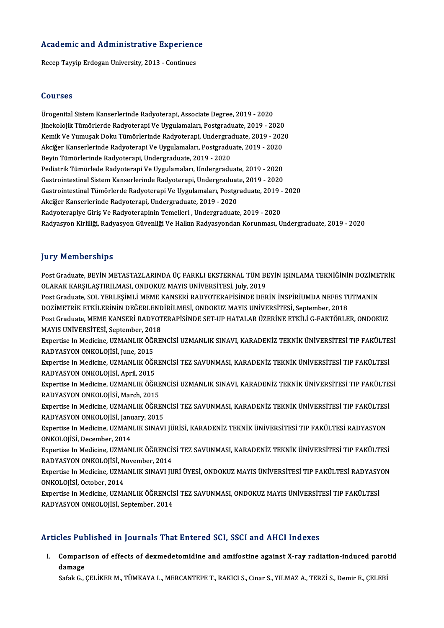# Academic and Administrative Experience A<mark>cademic and Administrative Experienc</mark><br>Recep Tayyip Erdogan University, 2013 - Continues

Recep Tayyip Erdogan University, 2013 - Continues<br>Courses

**Courses<br>Ürogenital Sistem Kanserlerinde Radyoterapi, Associate Degree, 2019 - 2020<br>Jinekelejik Tümörlerde Bedyoterapi Ve Uvgulameler, Bestareduste 2019 - 20** Jourbes<br>Ürogenital Sistem Kanserlerinde Radyoterapi, Associate Degree, 2019 - 2020<br>Jinekolojik Tümörlerde Radyoterapi Ve Uygulamaları, Postgraduate, 2019 - 2020<br>Kamik Ve Yumugek Delu: Tümörlerinde Bedyetereni, Undergraduat Ürogenital Sistem Kanserlerinde Radyoterapi, Associate Degree, 2019 - 2020<br>Jinekolojik Tümörlerde Radyoterapi Ve Uygulamaları, Postgraduate, 2019 - 2020<br>Kemik Ve Yumuşak Doku Tümörlerinde Radyoterapi, Undergraduate, 2019 -Jinekolojik Tümörlerde Radyoterapi Ve Uygulamaları, Postgraduate, 2019 - 2020<br>Kemik Ve Yumuşak Doku Tümörlerinde Radyoterapi, Undergraduate, 2019 - 202<br>Akciğer Kanserlerinde Radyoterapi Ve Uygulamaları, Postgraduate, 2019 Kemik Ve Yumuşak Doku Tümörlerinde Radyoterapi, Undergradu<br>Akciğer Kanserlerinde Radyoterapi Ve Uygulamaları, Postgradu<br>Beyin Tümörlerinde Radyoterapi, Undergraduate, 2019 - 2020<br>Pediatrik Tümörlede Pedvoterapi Ve Uygulama Akciğer Kanserlerinde Radyoterapi Ve Uygulamaları, Postgraduate, 2019 - 2020<br>Beyin Tümörlerinde Radyoterapi, Undergraduate, 2019 - 2020<br>Pediatrik Tümörlede Radyoterapi Ve Uygulamaları, Undergraduate, 2019 - 2020<br>Cestreinte Beyin Tümörlerinde Radyoterapi, Undergraduate, 2019 - 2020<br>Pediatrik Tümörlede Radyoterapi Ve Uygulamaları, Undergraduate, 2019 - 2020<br>Gastrointestinal Sistem Kanserlerinde Radyoterapi, Undergraduate, 2019 - 2020 Pediatrik Tümörlede Radyoterapi Ve Uygulamaları, Undergraduate, 2019 - 2020<br>Gastrointestinal Sistem Kanserlerinde Radyoterapi, Undergraduate, 2019 - 2020<br>Gastrointestinal Tümörlerde Radyoterapi Ve Uygulamaları, Postgraduat Gastrointestinal Sistem Kanserlerinde Radyoterapi, Undergraduat<br>Gastrointestinal Tümörlerde Radyoterapi Ve Uygulamaları, Postgr<br>Akciğer Kanserlerinde Radyoterapi, Undergraduate, 2019 - 2020<br>Pedyoterapiya Ciris Ve Pedyotera Gastrointestinal Tümörlerde Radyoterapi Ve Uygulamaları, Postgraduate, 2019 -<br>Akciğer Kanserlerinde Radyoterapi, Undergraduate, 2019 - 2020<br>Radyoterapiye Giriş Ve Radyoterapinin Temelleri , Undergraduate, 2019 - 2020<br>Padya Akciğer Kanserlerinde Radyoterapi, Undergraduate, 2019 - 2020<br>Radyoterapiye Giriş Ve Radyoterapinin Temelleri , Undergraduate, 2019 - 2020<br>Radyasyon Kirliliği, Radyasyon Güvenliği Ve Halkın Radyasyondan Korunması, Undergra

### **Jury Memberships**

Jury Memberships<br>Post Graduate, BEYİN METASTAZLARINDA ÜÇ FARKLI EKSTERNAL TÜM BEYİN IŞINLAMA TEKNİĞİNİN DOZİMETRİK<br>OLARAK KARSU ASTIRU MASL ONDOKUZ MAYIS UNİVERSİTESİ, July 2019 July Tromborumpu<br>Post Graduate, BEYİN METASTAZLARINDA ÜÇ FARKLI EKSTERNAL TÜM BI<br>OLARAK KARŞILAŞTIRILMASI, ONDOKUZ MAYIS UNİVERSİTESİ, July, 2019<br>Post Graduata SOL YERLESİMLİ MEME KANSERİ BADYOTERARISINDE DER Post Graduate, BEYİN METASTAZLARINDA ÜÇ FARKLI EKSTERNAL TÜM BEYİN IŞINLAMA TEKNİĞİNİN DOZİME'<br>OLARAK KARŞILAŞTIRILMASI, ONDOKUZ MAYIS UNİVERSİTESİ, July, 2019<br>Post Graduate, SOL YERLEŞİMLİ MEME KANSERİ RADYOTERAPİSİNDE DE OLARAK KARŞILAŞTIRILMASI, ONDOKUZ MAYIS UNİVERSİTESİ, July, 2019<br>Post Graduate, SOL YERLEŞİMLİ MEME KANSERİ RADYOTERAPİSİNDE DERİN İNSPİRİUMDA NEFES TUTMANIN<br>DOZİMETRİK ETKİLERİNİN DEĞERLENDİRİLMESİ, ONDOKUZ MAYIS UNİVERSİ Post Graduate, MEME KANSERİ RADYOTERAPİSİNDE SET-UP HATALAR ÜZERİNE ETKİLİ G-FAKTÖRLER, ONDOKUZ DOZİMETRİK ETKİLERİNİN DEĞERLEND<br>Post Graduate, MEME KANSERİ RADYOT<br>MAYIS UNİVERSİTESİ, September, 2018<br>Evnertise In Medisine, UZMANLUZ ÖĞREL Expertise In Medicine, UZMANLIK ÖĞRENCİSİ UZMANLIK SINAVI, KARADENİZ TEKNİK ÜNİVERSİTESİ TIP FAKÜLTESİ<br>RADYASYON ONKOLOJİSİ, June, 2015 MAYIS UNİVERSİTESİ, September, 201<br>Expertise In Medicine, UZMANLIK ÖĞI<br>RADYASYON ONKOLOJİSİ, June, 2015<br>Expertise In Medicine, UZMANLIK ÖĞI Expertise In Medicine, UZMANLIK ÖĞRENCİSİ UZMANLIK SINAVI, KARADENİZ TEKNİK ÜNİVERSİTESİ TIP FAKÜLTE:<br>RADYASYON ONKOLOJİSİ, June, 2015<br>Expertise In Medicine, UZMANLIK ÖĞRENCİSİ TEZ SAVUNMASI, KARADENİZ TEKNİK ÜNİVERSİTESİ RADYASYON ONKOLOJİSİ, June, 2015<br>Expertise In Medicine, UZMANLIK ÖĞR<br>RADYASYON ONKOLOJİSİ, April, 2015<br>Expertise In Medicine, UZMANLIK ÖĞR Expertise In Medicine, UZMANLIK ÖĞRENCİSİ TEZ SAVUNMASI, KARADENİZ TEKNİK ÜNİVERSİTESİ TIP FAKÜLTESİ<br>RADYASYON ONKOLOJİSİ, April, 2015<br>Expertise In Medicine, UZMANLIK ÖĞRENCİSİ UZMANLIK SINAVI, KARADENİZ TEKNİK ÜNİVERSİTES RADYASYON ONKOLOJİSİ, April, 2015<br>Expertise In Medicine, UZMANLIK ÖĞRENCİSİ UZMANLIK SINAVI, KARADENİZ TEKNİK ÜNİVERSİTESİ TIP FAKÜLTESİ<br>RADYASYON ONKOLOJİSİ, March, 2015 Expertise In Medicine, UZMANLIK ÖĞRENCİSİ UZMANLIK SINAVI, KARADENİZ TEKNİK ÜNİVERSİTESİ TIP FAKÜLTE:<br>RADYASYON ONKOLOJİSİ, March, 2015<br>Expertise In Medicine, UZMANLIK ÖĞRENCİSİ TEZ SAVUNMASI, KARADENİZ TEKNİK ÜNİVERSİTESİ RADYASYON ONKOLOJİSİ, March, 2015<br>Expertise In Medicine, UZMANLIK ÖĞREN<br>RADYASYON ONKOLOJİSİ, January, 2015<br>Eynertise In Medisine, UZMANLIK SINAVI Expertise In Medicine, UZMANLIK ÖĞRENCİSİ TEZ SAVUNMASI, KARADENİZ TEKNİK ÜNİVERSİTESİ TIP FAKÜLTESİ<br>RADYASYON ONKOLOJİSİ, January, 2015<br>Expertise In Medicine, UZMANLIK SINAVI JÜRİSİ, KARADENİZ TEKNİK ÜNİVERSİTESİ TIP FAKÜ RADYASYON ONKOLOJİSİ, Janu<br>Expertise In Medicine, UZMAN<br>ONKOLOJİSİ, December, 2014<br>Eynertise In Medicine, UZMAN Expertise In Medicine, UZMANLIK SINAVI JÜRİSİ, KARADENİZ TEKNİK ÜNİVERSİTESİ TIP FAKÜLTESİ RADYASYON<br>ONKOLOJİSİ, December, 2014<br>Expertise In Medicine, UZMANLIK ÖĞRENCİSİ TEZ SAVUNMASI, KARADENİZ TEKNİK ÜNİVERSİTESİ TIP FAK ONKOLOJİSİ, December, 2014<br>Expertise In Medicine, UZMANLIK ÖĞRENCİSİ TEZ SAVUNMASI, KARADENİZ TEKNİK ÜNİVERSİTESİ TIP FAKÜLTESİ<br>RADYASYON ONKOLOJİSİ, November, 2014 Expertise In Medicine, UZMANLIK ÖĞRENCİSİ TEZ SAVUNMASI, KARADENİZ TEKNİK ÜNİVERSİTESİ TIP FAKÜLTESİ<br>RADYASYON ONKOLOJİSİ, November, 2014<br>Expertise In Medicine, UZMANLIK SINAVI JURİ ÜYESİ, ONDOKUZ MAYIS ÜNİVERSİTESİ TIP FA RADYASYON ONKOLOJİSİ, N<br>Expertise In Medicine, UZMA<br>ONKOLOJİSİ, October, 2014<br>Expertise In Medicine, UZMA Expertise In Medicine, UZMANLIK SINAVI JURİ ÜYESİ, ONDOKUZ MAYIS ÜNİVERSİTESİ TIP FAKÜLTESİ RADYASY<br>ONKOLOJİSİ, October, 2014<br>Expertise In Medicine, UZMANLIK ÖĞRENCİSİ TEZ SAVUNMASI, ONDOKUZ MAYIS ÜNİVERSİTESİ TIP FAKÜLTES ONKOLOJİSİ, October, 2014<br>Expertise In Medicine, UZMANLIK ÖĞRENCİSİ TEZ SAVUNMASI, ONDOKUZ MAYIS ÜNİVERSİTESİ TIP FAKÜLTESİ<br>RADYASYON ONKOLOJİSİ, September, 2014

### Articles Published in Journals That Entered SCI, SSCI and AHCI Indexes

rticles Published in Journals That Entered SCI, SSCI and AHCI Indexes<br>I. Comparison of effects of dexmedetomidine and amifostine against X-ray radiation-induced parotid<br>damage cree r at<br>Compari<br>damage damage<br>Safak G., ÇELİKER M., TÜMKAYA L., MERCANTEPE T., RAKICI S., Cinar S., YILMAZ A., TERZİ S., Demir E., ÇELEBİ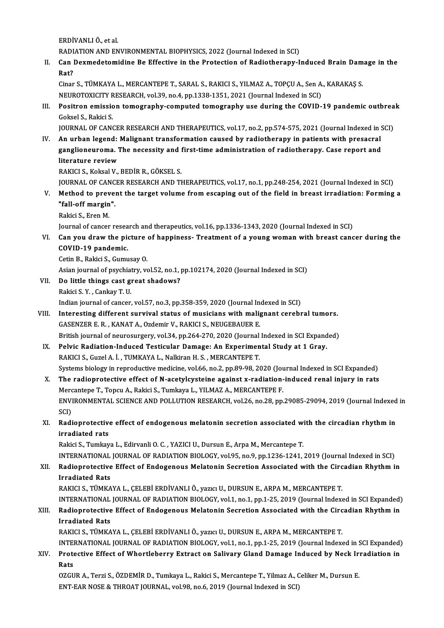ERDİVANLIÖ.,etal.

ERDİVANLI Ö., et al.<br>RADIATION AND ENVIRONMENTAL BIOPHYSICS, 2022 (Journal Indexed in SCI)<br>Can Daymadatamidine Be Effective in the Protection of Pediatherany J

II. Can Dexmedetomidine Be Effective in the Protection of Radiotherapy-Induced Brain Damage in the Rat? RADI<br>Can I<br>Rat?<br>Ciner Can Dexmedetomidine Be Effective in the Protection of Radiotherapy-Induced Brain Dam<br>Rat?<br>Cinar S., TÜMKAYA L., MERCANTEPE T., SARAL S., RAKICI S., YILMAZ A., TOPÇU A., Sen A., KARAKAŞ S.<br>NEUPOTOVICITY PESEARCH vel 39 no.4

Rat?<br>Cinar S., TÜMKAYA L., MERCANTEPE T., SARAL S., RAKICI S., YILMAZ A., TOPÇU A., Sen A.<br>NEUROTOXICITY RESEARCH, vol.39, no.4, pp.1338-1351, 2021 (Journal Indexed in SCI)<br>Positron emission temestanby semputed temestanby Cinar S., TÜMKAYA L., MERCANTEPE T., SARAL S., RAKICI S., YILMAZ A., TOPÇU A., Sen A., KARAKAŞ S.<br>NEUROTOXICITY RESEARCH, vol.39, no.4, pp.1338-1351, 2021 (Journal Indexed in SCI)<br>III. Positron emission tomography-computed

NEUROTOXICITY R<br>Positron emissic<br>Goksel S., Rakici S.<br>JOUPMAL OF CANG Positron emission tomography-computed tomography use during the COVID-19 pandemic outbrea<br>Goksel S., Rakici S.<br>JOURNAL OF CANCER RESEARCH AND THERAPEUTICS, vol.17, no.2, pp.574-575, 2021 (Journal Indexed in SCI)<br>An urban l

Goksel S., Rakici S.<br>IOURNAL OF CANCER RESEARCH AND THERAPEUTICS, vol.17, no.2, pp.574-575, 2021 (Journal Indexed in 9 JOURNAL OF C<br>IV. An urban legend: Malignant transformation caused by radiotherapy in patients with pres JOURNAL OF CANCER RESEARCH AND THERAPEUTICS, vol.17, no.2, pp.574-575, 2021 (Journal Indexed in S<br>An urban legend: Malignant transformation caused by radiotherapy in patients with presacral<br>ganglioneuroma. The necessity an An urban legend:<br>ganglioneuroma. 1<br>literature review<br>BAKICLS, Kokoal V ganglioneuroma. The necessity and first-time administration of radiotherapy. Case report and literature review<br>literature review<br>RAKICI S., Koksal V., BEDİR R., GÖKSEL S. literature review<br>RAKICI S., Koksal V., BEDİR R., GÖKSEL S.<br>JOURNAL OF CANCER RESEARCH AND THERAPEUTICS, vol.17, no.1, pp.248-254, 2021 (Journal Indexed in SCI)<br>Method to provent the target volume from essening out of the

RAKICI S., Koksal V., BEDİR R., GÖKSEL S.<br>JOURNAL OF CANCER RESEARCH AND THERAPEUTICS, vol.17, no.1, pp.248-254, 2021 (Journal Indexed in SCI)<br>V. Method to prevent the target volume from escaping out of the field in breast **JOURNAL OF CANC<br>Method to prever<br>"fall-off margin".**<br>Bokisi S. Fron M V. Method to prevent the target volume from escaping out of the field in breast irradiation: Forming a "fall-off margin".<br>"fall-off margin".<br>Rakici S., Eren M.

Journal of cancer research and therapeutics, vol.16, pp.1336-1343, 2020 (Journal Indexed in SCI)

Rakici S., Eren M.<br>Journal of cancer research and therapeutics, vol.16, pp.1336-1343, 2020 (Journal Indexed in SCI)<br>VI. Can you draw the picture of happiness- Treatment of a young woman with breast cancer during the<br>COVID Journal of cancer resea<br>Can you draw the pion<br>COVID-19 pandemic.<br>Cetin B. Pakisi S. Cumu Can you draw the picture<br>COVID-19 pandemic.<br>Cetin B., Rakici S., Gumusay O.<br>Asian journal of psychiatry, yo

COVID-19 pandemic.<br>Cetin B., Rakici S., Gumusay O.<br>Asian journal of psychiatry, vol.52, no.1, pp.102174, 2020 (Journal Indexed in SCI) Cetin B., Rakici S., Gumusay O.<br>Asian journal of psychiatry, vol.52, no.1, p<br>VII. Do little things cast great shadows?

- Asian journal of psychiat<br>Do little things cast gi<br>Rakici S.Y. , Cankay T. U.<br>Indian journal of cancer
	-

```
Do little things cast great shadows?<br>Rakici S. Y. , Cankay T. U.<br>Indian journal of cancer, vol.57, no.3, pp.358-359, 2020 (Journal Indexed in SCI)<br>Interesting different survival status of musicians with malignant sereby
```
- Rakici S. Y. , Cankay T. U.<br>Indian journal of cancer, vol.57, no.3, pp.358-359, 2020 (Journal Indexed in SCI)<br>VIII. Interesting different survival status of musicians with malignant cerebral tumors.<br>GASENZER E. R. , KANAT Indian journal of cancer, vol.57, no.3, pp.358-359, 2020 (Journal Inferesting different survival status of musicians with maliguide GASENZER E. R., KANAT A., Ozdemir V., RAKICI S., NEUGEBAUER E.<br>Pritish journal of neurogur British journal of neurosurgery, vol.34, pp.264-270, 2020 (Journal Indexed in SCI Expanded) GASENZER E. R., KANAT A., Ozdemir V., RAKICI S., NEUGEBAUER E.<br>British journal of neurosurgery, vol.34, pp.264-270, 2020 (Journal Indexed in SCI Expand<br>IX. Pelvic Radiation-Induced Testicular Damage: An Experimental Study
	- British journal of neurosurgery, vol.34, pp.264-270, 2020 (Journal<br>Pelvic Radiation-Induced Testicular Damage: An Experimen<br>RAKICI S., Guzel A. İ. , TUMKAYA L., Nalkiran H. S. , MERCANTEPE T.<br>Systems biology in nonrodustiv RAKICI S., Guzel A. İ. , TUMKAYA L., Nalkiran H. S. , MERCANTEPE T.<br>Systems biology in reproductive medicine, vol.66, no.2, pp.89-98, 2020 (Journal Indexed in SCI Expanded) RAKICI S., Guzel A. İ. , TUMKAYA L., Nalkiran H. S. , MERCANTEPE T.<br>Systems biology in reproductive medicine, vol.66, no.2, pp.89-98, 2020 (Journal Indexed in SCI Expanded)<br>X. The radioprotective effect of N-acetylcysteine
	- Systems biology in reproductive medicine, vol.66, no.2, pp.89-98, 2020 (Journal of the radioprotective effect of N-acetylcysteine against x-radiation-<br>Mercantepe T., Topcu A., Rakici S., Tumkaya L., YILMAZ A., MERCANTEPE F The radioprotective effect of N-acetylcysteine against x-radiation-induced renal injury in rats<br>Mercantepe T., Topcu A., Rakici S., Tumkaya L., YILMAZ A., MERCANTEPE F.<br>ENVIRONMENTAL SCIENCE AND POLLUTION RESEARCH, vol.26, Mercantepe T., Topcu A., Rakici S., Tumkaya L., YILMAZ A., MERCANTEPE F.<br>ENVIRONMENTAL SCIENCE AND POLLUTION RESEARCH, vol.26, no.28, pp.<br>SCI) ENVIRONMENTAL SCIENCE AND POLLUTION RESEARCH, vol.26, no.28, pp.29085-29094, 2019 (Journal Indexed<br>SCI)<br>XI. Radioprotective effect of endogenous melatonin secretion associated with the circadian rhythm in<br>innediated nate
- XI. Radioprotective effect of endogenous melatonin secretion associated with the circadian rhythm in irradiated rats irradiated rats<br>Rakici S., Tumkaya L., Edirvanli O. C. , YAZICI U., Dursun E., Arpa M., Mercantepe T.<br>INTERNATIONAL JOURNAL OF RADIATION BIOLOGY, vol.95, no.9, pp.1236-1241, 2019 (Journal Indexed in SCI)<br>Radionratestive Ef

Rakici S., Tumkaya L., Edirvanli O. C., YAZICI U., Dursun E., Arpa M., Mercantepe T.

### Rakici S., Tumkaya L., Edirvanli O. C. , YAZICI U., Dursun E., Arpa M., Mercantepe T.<br>INTERNATIONAL JOURNAL OF RADIATION BIOLOGY, vol.95, no.9, pp.1236-1241, 2019 (Journal Indexed in SCI)<br>XII. Radioprotective Effect of INTERNATIONAL<br>Radioprotective<br>Irradiated Rats<br>RAVICLS TÜMVA XII. Radioprotective Effect of Endogenous Melatonin Secretion Associated with the Circadian Rhythm in<br>Irradiated Rats<br>RAKICI S., TÜMKAYA L., ÇELEBİ ERDİVANLI Ö., yazıcı U., DURSUN E., ARPA M., MERCANTEPE T.

Irradiated Rats<br>RAKICI S., TÜMKAYA L., ÇELEBİ ERDİVANLI Ö., yazıcı U., DURSUN E., ARPA M., MERCANTEPE T.<br>INTERNATIONAL JOURNAL OF RADIATION BIOLOGY, vol.1, no.1, pp.1-25, 2019 (Journal Indexed in SCI Expanded)<br>Padianratast RAKICI S., TÜMKAYA L., ÇELEBİ ERDİVANLI Ö., yazıcı U., DURSUN E., ARPA M., MERCANTEPE T.<br>INTERNATIONAL JOURNAL OF RADIATION BIOLOGY, vol.1, no.1, pp.1-25, 2019 (Journal Indexed in SCI Expanded)<br>XIII. Radioprotective Ef INTERNATIONAL<br>Radioprotective<br>Irradiated Rats<br>RAVICLS TÜMVA XIII. Radioprotective Effect of Endogenous Melatonin Secretion Associated with the Circadian Rhythm in<br>Irradiated Rats<br>RAKICI S., TÜMKAYA L., ÇELEBİ ERDİVANLI Ö., yazıcı U., DURSUN E., ARPA M., MERCANTEPE T.

Irradiated Rats<br>RAKICI S., TÜMKAYA L., ÇELEBİ ERDİVANLI Ö., yazıcı U., DURSUN E., ARPA M., MERCANTEPE T.<br>INTERNATIONAL JOURNAL OF RADIATION BIOLOGY, vol.1, no.1, pp.1-25, 2019 (Journal Indexed in SCI Expanded)<br>Protestive E RAKICI S., TÜMKAYA L., ÇELEBİ ERDİVANLI Ö., yazıcı U., DURSUN E., ARPA M., MERCANTEPE T.<br>INTERNATIONAL JOURNAL OF RADIATION BIOLOGY, vol.1, no.1, pp.1-25, 2019 (Journal Indexed in SCI Expanded)<br>XIV. Protective Effect o INTEI<br>Prote<br>Rats<br>07CU

Protective Effect of Whortleberry Extract on Salivary Gland Damage Induced by Neck Ir:<br>Rats<br>OZGUR A., Terzi S., ÖZDEMİR D., Tumkaya L., Rakici S., Mercantepe T., Yilmaz A., Celiker M., Dursun E.<br>ENT EAR NOSE & THROAT JOURN Rats<br>OZGUR A., Terzi S., ÖZDEMİR D., Tumkaya L., Rakici S., Mercantepe T., Yilmaz A., C<br>ENT-EAR NOSE & THROAT JOURNAL, vol.98, no.6, 2019 (Journal Indexed in SCI)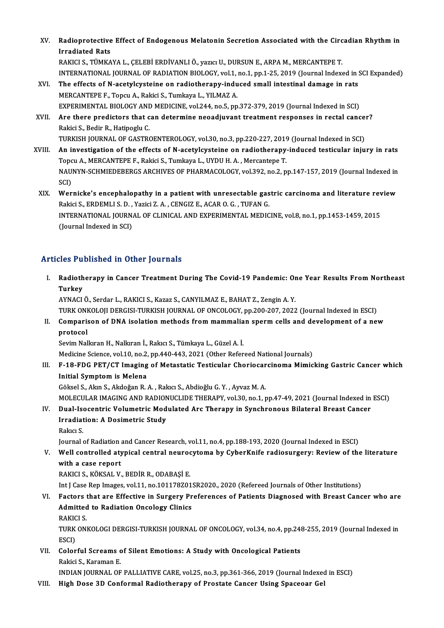- XV. Radioprotective Effect of Endogenous Melatonin Secretion Associated with the Circadian Rhythm in Radioprotective<br>Irradiated Rats<br>RAVICLS TÜMVA Radioprotective Effect of Endogenous Melatonin Secretion Associated with the Circ<br>Irradiated Rats<br>RAKICI S., TÜMKAYA L., ÇELEBİ ERDİVANLI Ö., yazıcı U., DURSUN E., ARPA M., MERCANTEPE T.<br>INTERNATIONAL JOURNAL OF PADIATION Irradiated Rats<br>RAKICI S., TÜMKAYA L., ÇELEBİ ERDİVANLI Ö., yazıcı U., DURSUN E., ARPA M., MERCANTEPE T.<br>INTERNATIONAL JOURNAL OF RADIATION BIOLOGY, vol.1, no.1, pp.1-25, 2019 (Journal Indexed in SCI Expanded) XVI. The effects of N-acetylcysteine on radiotherapy-induced smal intestinal damage in rats
- MERCANTEPE F., Topcu A., Rakici S., Tumkaya L., YILMAZ A. The effects of N-acetylcysteine on radiotherapy-induced small intestinal damage in rats<br>MERCANTEPE F., Topcu A., Rakici S., Tumkaya L., YILMAZ A.<br>EXPERIMENTAL BIOLOGY AND MEDICINE, vol.244, no.5, pp.372-379, 2019 (Journal
- XVII. Are there predictors that can determine neoadjuvant treatment responses in rectal cancer?<br>Rakici S., Bedir R., Hatipoglu C. EXPERIMENTAL BIOLOGY AND<br>Are there predictors that c<br>Rakici S., Bedir R., Hatipoglu C.<br>TURKISH JOURNAL OF CASTRO Are there predictors that can determine neoadjuvant treatment responses in rectal cance<br>Rakici S., Bedir R., Hatipoglu C.<br>TURKISH JOURNAL OF GASTROENTEROLOGY, vol.30, no.3, pp.220-227, 2019 (Journal Indexed in SCI)<br>An inve
- XVIII. An investigation of the effects of N-acetylcysteine on radiotherapy-induced testicular injury in rats<br>Topcu A., MERCANTEPE F., Rakici S., Tumkaya L., UYDU H. A., Mercantepe T. TURKISH JOURNAL OF GASTROENTEROLOGY, vol.30, no.3, pp.220-227, 2019<br>An investigation of the effects of N-acetylcysteine on radiotherapy<br>Topcu A., MERCANTEPE F., Rakici S., Tumkaya L., UYDU H.A. , Mercantepe T.<br>NAUNYN SCHMI An investigation of the effects of N-acetylcysteine on radiotherapy-induced testicular injury in rats<br>Topcu A., MERCANTEPE F., Rakici S., Tumkaya L., UYDU H. A. , Mercantepe T.<br>NAUNYN-SCHMIEDEBERGS ARCHIVES OF PHARMACOLOGY Topc<br>NAU<br>SCI)<br>Wer NAUNYN-SCHMIEDEBERGS ARCHIVES OF PHARMACOLOGY, vol.392, no.2, pp.147-157, 2019 (Journal Indexed in<br>SCI)<br>XIX. Wernicke's encephalopathy in a patient with unresectable gastric carcinoma and literature review<br>Religi S. EPDEML
	- SCI)<br>Wernicke's encephalopathy in a patient with unresectable gas<br>Rakici S., ERDEMLI S. D. , Yazici Z. A. , CENGIZ E., ACAR O. G. , TUFAN G.<br>INTERNATIONAL JOURNAL OF CLINICAL AND EXPERIMENTAL MEDIC Wernicke's encephalopathy in a patient with unresectable gastric carcinoma and literature rev<br>Rakici S., ERDEMLI S. D. , Yazici Z. A. , CENGIZ E., ACAR O. G. , TUFAN G.<br>INTERNATIONAL JOURNAL OF CLINICAL AND EXPERIMENTAL ME Rakici S., ERDEMLI S. D. , Yazici Z. A. , CENGIZ E., ACAR O. G. , TUFAN G.<br>INTERNATIONAL JOURNAL OF CLINICAL AND EXPERIMENTAL MEDICINE, vol.8, no.1, pp.1453-1459, 2015<br>(Journal Indexed in SCI)

### Articles Published in Other Journals

rticles Published in Other Journals<br>I. Radiotherapy in Cancer Treatment During The Covid-19 Pandemic: One Year Results From Northeast<br>Turkey Radioth<br>Turkey<br>AVMACI Turkey<br>AYNACI Ö., Serdar L., RAKICI S., Kazaz S., CANYILMAZ E., BAHAT Z., Zengin A. Y.

Turkey<br>AYNACI Ö., Serdar L., RAKICI S., Kazaz S., CANYILMAZ E., BAHAT Z., Zengin A. Y.<br>TURK ONKOLOJI DERGISI-TURKISH JOURNAL OF ONCOLOGY, pp.200-207, 2022 (Journal Indexed in ESCI)<br>Comparison of DNA isolation methods from AYNACI Ö., Serdar L., RAKICI S., Kazaz S., CANYILMAZ E., BAHAT Z., Zengin A. Y.<br>TURK ONKOLOJI DERGISI-TURKISH JOURNAL OF ONCOLOGY, pp.200-207, 2022 (Journal Indexed in ESCI)<br>II. Comparison of DNA isolation methods from mam

TURK ON<mark>I</mark><br>Comparis<br>protocol<br>Sovim Nol Comparison of DNA isolation methods from mammalia<br>protocol<br>Sevim Nalkıran H., Nalkıran İ., Rakıcı S., Tümkaya L., Güzel A. İ.<br>Medisine Ssiense, vol.10, no.2, nn.440,442,2921 (Other Befor protocol<br>Sevim Nalkıran H., Nalkıran İ., Rakıcı S., Tümkaya L., Güzel A. İ.<br>Medicine Science, vol.10, no.2, pp.440-443, 2021 (Other Refereed National Journals)<br>E.19, EDC, PET (CT Imaging of Matastatio Testisular Charicsars

Sevim Nalkıran H., Nalkıran İ., Rakıcı S., Tümkaya L., Güzel A. İ.<br>Medicine Science, vol.10, no.2, pp.440-443, 2021 (Other Refereed National Journals)<br>III. F-18-FDG PET/CT Imaging of Metastatic Testicular Choriocarcinoma M Medicine Science, vol.10, no.2,<br>F-18-FDG PET/CT Imaging<br>Initial Symptom is Melena<br>Cëlreel S. Alun S. Alsdoğan B. F-18-FDG PET/CT Imaging of Metastatic Testicular Choriocar<br>Initial Symptom is Melena<br>Göksel S., Akın S., Akdoğan R. A. , Rakıcı S., Abdioğlu G. Y. , Ayvaz M. A.<br>MOLECULAR IMACING AND RADIONUCLIDE THERARY vol 30 no.1 x

I<mark>nitial Symptom is Melena</mark><br>Göksel S., Akın S., Akdoğan R. A. , Rakıcı S., Abdioğlu G. Y. , Ayvaz M. A.<br>MOLECULAR IMAGING AND RADIONUCLIDE THERAPY, vol.30, no.1, pp.47-49, 2021 (Journal Indexed in ESCI)

Göksel S., Akın S., Akdoğan R. A. , Rakıcı S., Abdioğlu G. Y. , Ayvaz M. A.<br>MOLECULAR IMAGING AND RADIONUCLIDE THERAPY, vol.30, no.1, pp.47-49, 2021 (Journal Indexed in<br>IV. Dual-Isocentric Volumetric Modulated Arc Ther MOLECULAR IMAGING AND RADION<br>Dual-Isocentric Volumetric Mod<br>Irradiation: A Dosimetric Study<br>Pake: S Dual-Ise<br>Irradiat<br>Rakıcı S.<br>Journal Irradiation: A Dosimetric Study<br>Rakıcı S.<br>Journal of Radiation and Cancer Research, vol.11, no.4, pp.188-193, 2020 (Journal Indexed in ESCI)

Rakıcı S.<br>Journal of Radiation and Cancer Research, vol.11, no.4, pp.188-193, 2020 (Journal Indexed in ESCI)<br>V. Well controlled atypical central neurocytoma by CyberKnife radiosurgery: Review of the literature<br>with a s Journal of Radiation<br>Well controlled aty<br>with a case report<br>PAKICLS KÖKSAL V Well controlled atypical central neurod<br>with a case report<br>RAKICI S., KÖKSAL V., BEDİR R., ODABAŞİ E.<br>Int I Case Ben Images vol 11 ne 191178791 with a case report<br>RAKICI S., KÖKSAL V., BEDİR R., ODABAŞİ E.<br>Int J Case Rep Images, vol.11, no.101178Z01SR2020., 2020 (Refereed Journals of Other Institutions)<br>Festers that are Effective in Surgery Preferences of Petients

## RAKICI S., KÖKSAL V., BEDİR R., ODABAŞİ E.<br>Int J Case Rep Images, vol.11, no.101178Z01SR2020., 2020 (Refereed Journals of Other Institutions)<br>VI. Factors that are Effective in Surgery Preferences of Patients Diagnosed Int J Case Rep Images, vol.11, no.101178Z01<br>Factors that are Effective in Surgery Pr<br>Admitted to Radiation Oncology Clinics<br>PAKICLS Factors<br>Admitted<br>RAKICI S.<br>TUPK ON

Admitted to Radiation Oncology Clinics<br>RAKICI S.<br>TURK ONKOLOGI DERGISI-TURKISH JOURNAL OF ONCOLOGY, vol.34, no.4, pp.248-255, 2019 (Journal Indexed in<br>ESCD RAKIC<br>TURK<br>ESCI)<br>Galar TURK ONKOLOGI DERGISI-TURKISH JOURNAL OF ONCOLOGY, vol.34, no.4, pp.241<br>ESCI)<br>VII. Colorful Screams of Silent Emotions: A Study with Oncological Patients<br>Pekisi S. Karaman E

ESCI)<br><mark>Colorful Screams c</mark><br>Rakici S., Karaman E.<br>INDIAN JOURNAL OF Colorful Screams of Silent Emotions: A Study with Oncological Patients<br>Rakici S., Karaman E.<br>INDIAN JOURNAL OF PALLIATIVE CARE, vol.25, no.3, pp.361-366, 2019 (Journal Indexed in ESCI)<br>High Dose 3D Conformal Padiatherany o Rakici S., Karaman E.<br>INDIAN JOURNAL OF PALLIATIVE CARE, vol.25, no.3, pp.361-366, 2019 (Journal Indexed<br>VIII. High Dose 3D Conformal Radiotherapy of Prostate Cancer Using Spaceoar Gel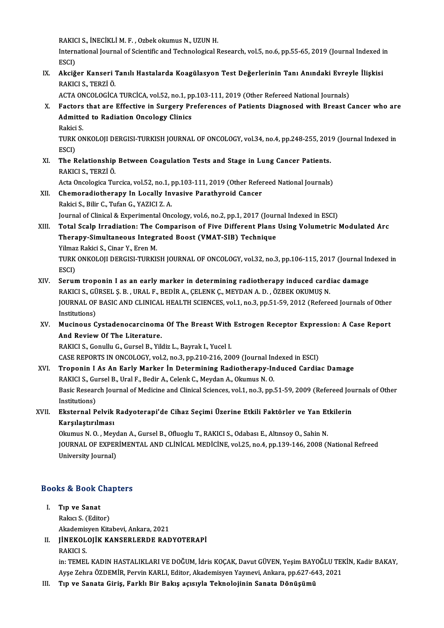RAKICI S., İNECİKLİ M. F. , Ozbek okumus N., UZUN H.<br>International Jaurnal of Scientific and Technological B

International Journal of Scientific and Technological Research, vol.5, no.6, pp.55-65, 2019 (Journal Indexed in<br>ESCI) RAKIC<br>Intern<br>ESCI)<br>Akaiž International Journal of Scientific and Technological Research, vol.5, no.6, pp.55-65, 2019 (Journal Indexed i<br>ESCI)<br>IX. Akciğer Kanseri Tanılı Hastalarda Koagülasyon Test Değerlerinin Tanı Anındaki Evreyle İlişkisi<br>RAKICL

# ESCI)<br>**Akciğer Kanseri <sup>7</sup><br>RAKICI S., TERZİ Ö.**<br>ACTA ONCOLOCİCA Akciğer Kanseri Tanılı Hastalarda Koagülasyon Test Değerlerinin Tanı Anındaki Evrey<br>RAKICI S., TERZİ Ö.<br>ACTA ONCOLOGİCA TURCİCA, vol.52, no.1, pp.103-111, 2019 (Other Refereed National Journals)<br>Factors that are Effective

RAKICI S., TERZİ Ö.<br>ACTA ONCOLOGİCA TURCİCA, vol.52, no.1, pp.103-111, 2019 (Other Refereed National Journals)<br>X. Factors that are Effective in Surgery Preferences of Patients Diagnosed with Breast Cancer who are<br>Admitt ACTA ONCOLOGİCA TURCİCA, vol.52, no.1, p<sub>i</sub><br>Factors that are Effective in Surgery Pr<br>Admitted to Radiation Oncology Clinics<br>Pakisi S F<mark>actors</mark><br>Admitte<br>Rakici S.<br>TUPK ON

Admitted to Radiation Oncology Clinics<br>Rakici S.<br>TURK ONKOLOJI DERGISI-TURKISH JOURNAL OF ONCOLOGY, vol.34, no.4, pp.248-255, 2019 (Journal Indexed in<br>ESCD Rakici<br>TURK<br>ESCI)<br>The P TURK ONKOLOJI DERGISI-TURKISH JOURNAL OF ONCOLOGY, vol.34, no.4, pp.248-255, 201<br>ESCI)<br>XI. The Relationship Between Coagulation Tests and Stage in Lung Cancer Patients.<br>RAKICLS, TERZI Ö

ESCI)<br>XI. The Relationship Between Coagulation Tests and Stage in Lung Cancer Patients.<br>RAKICI S., TERZİÖ. The Relationship Between Coagulation Tests and Stage in Lung Cancer Patients.<br>RAKICI S., TERZİ Ö.<br>Acta Oncologica Turcica, vol.52, no.1, pp.103-111, 2019 (Other Refereed National Journals)<br>Chamoradiatherany In Locally Inve

- RAKICI S., TERZİ Ö.<br>Acta Oncologica Turcica, vol.52, no.1, pp.103-111, 2019 (Other Refer<br>XII. Chemoradiotherapy In Locally Invasive Parathyroid Cancer<br>Beltisi S. Bilin G. Tufon G. XAZICI Z. A Chemoradiotherapy In Locally Invasive Parathyroid Cancer<br>Rakici S., Bilir C., Tufan G., YAZICI Z. A. JournalofClinical&ExperimentalOncology,vol.6,no.2,pp.1,2017 (Journal Indexed inESCI)
- XIII. Total Scalp Irradiation: The Comparison of Five Different Plans Using Volumetric Modulated Arc Journal of Clinical & Experimental Oncology, vol.6, no.2, pp.1, 2017 (Journ<br>Total Scalp Irradiation: The Comparison of Five Different Plans<br>Therapy-Simultaneous Integrated Boost (VMAT-SIB) Technique<br><sup>Vilmog Boltisi S.</sup> Gin Total Scalp Irradiation: The C<br>Therapy-Simultaneous Integr<br>Yilmaz Rakici S., Cinar Y., Eren M.<br>TURK ONKOLOU DERCISI TURKIS TURK ONKOLOJI DERGISI-TURKISH JOURNAL OF ONCOLOGY, vol.32, no.3, pp.106-115, 2017 (Journal Indexed in ESCI) Yilmaz Rakici S., Cinar Y., Eren M.
- TURK ONKOLOJI DERGISI-TURKISH JOURNAL OF ONCOLOGY, vol.32, no.3, pp.106-115, 2017 (Journal In<br>ESCI)<br>XIV. Serum troponin I as an early marker in determining radiotherapy induced cardiac damage<br>PAKICI S. CÜBSEL S. B. JUBALE, ESCI)<br>Serum troponin I as an early marker in determining radiotherapy induced card<br>RAKICI S.,GÜRSEL Ş.B. ,URAL F., BEDİR A., ÇELENK Ç., MEYDAN A.D. , ÖZBEK OKUMUŞ N.<br>JOUPNAL OF RASIC AND CLINICAL HEALTH SCIENCES .vol.1, no Serum troponin I as an early marker in determining radiotherapy induced cardiac damage<br>RAKICI S., GÜRSEL Ş. B. , URAL F., BEDİR A., ÇELENK Ç., MEYDAN A. D. , ÖZBEK OKUMUŞ N.<br>JOURNAL OF BASIC AND CLINICAL HEALTH SCIENCES, v RAKICI S., GÜRSEL Ş. B. , URAL F., BEDİR A., ÇELENK Ç., MEYDAN A. D. , ÖZBEK OKUMUŞ N.<br>JOURNAL OF BASIC AND CLINICAL HEALTH SCIENCES, vol.1, no.3, pp.51-59, 2012 (Refere<br>Institutions) JOURNAL OF BASIC AND CLINICAL HEALTH SCIENCES, vol.1, no.3, pp.51-59, 2012 (Refereed Journals of Other<br>Institutions)<br>XV. Mucinous Cystadenocarcinoma Of The Breast With Estrogen Receptor Expression: A Case Report<br>And Beview

## XV. Mucinous Cystadenocarcinoma Of The Breast With Estrogen Receptor Expression: A Case Report<br>And Review Of The Literature.

RAKICI S., Gonullu G., Gursel B., Yildiz L., Bayrak I., Yucel I.

CASE REPORTS IN ONCOLOGY, vol.2, no.3, pp.210-216, 2009 (Journal Indexed in ESCI)

XVI. Troponin I As An EarlyMarker İn Determining Radiotherapy-Induced Cardiac Damage CASE REPORTS IN ONCOLOGY, vol.2, no.3, pp.210-216, 2009 (Journal Infroponin I As An Early Marker In Determining Radiotherapy-In<br>RAKICI S., Gursel B., Ural F., Bedir A., Celenk C., Meydan A., Okumus N. O.<br>Pasis Pessearsh Jo Basic Research Journal of Medicine and Clinical Sciences, vol.1, no.3, pp.51-59, 2009 (Refereed Journals of Other Institutions) RAKICI S., Gu<br>Basic Resear<br>Institutions)<br>Eksternal B Basic Research Journal of Medicine and Clinical Sciences, vol.1, no.3, pp.51-59, 2009 (Refereed Jou<br>Institutions)<br>XVII. Eksternal Pelvik Radyoterapi'de Cihaz Seçimi Üzerine Etkili Faktörler ve Yan Etkilerin<br>Karalatturlması

# Institutions)<br>Eksternal Pelvik<br>Karşılaştırılması<br><sup>Olnumus N.O.</sup> Mev Eksternal Pelvik Radyoterapi'de Cihaz Seçimi Üzerine Etkili Faktörler ve Yan Et<br>Karşılaştırılması<br>Okumus N. O. , Meydan A., Gursel B., Ofluoglu T., RAKICI S., Odabası E., Altınsoy O., Sahin N.<br>JOUPNAL OF EVPERIMENTAL AND C

Karşılaştırılması<br>Okumus N. O. , Meydan A., Gursel B., Ofluoglu T., RAKICI S., Odabası E., Altınsoy O., Sahin N.<br>JOURNAL OF EXPERİMENTAL AND CLİNİCAL MEDİCİNE, vol.25, no.4, pp.139-146, 2008 (National Refreed<br>University Jo Okumus N. O. , Meyc<br>JOURNAL OF EXPER<br>University Journal)

# oniversity journal)<br>Books & Book Chapters

- ooks & Book C<br>I. Tip ve Sanat<br>Relag S. (Edite I. Tip ve Sanat<br>Rakıcı S. (Editor) Tı<mark>p ve Sanat</mark><br>Rakıcı S. (Editor)<br>Akademisyen Kitabevi, Ankara, 2021<br>UNEKOLOUK KANSERLERDE RAD
- II. JİNEKOLOJİK KANSERLERDE RADYOTERAPİ<br>RAKICI S. Akademis<br>J<mark>İNEKOL</mark><br>RAKICI S.<br>in: TEMEL
	-

JİNEKOLOJİK KANSERLERDE RADYOTERAPİ<br>RAKICI S.<br>in: TEMEL KADIN HASTALIKLARI VE DOĞUM, İdris KOÇAK, Davut GÜVEN, Yeşim BAYOĞLU TEKİN, Kadir BAKAY,<br>Aves Zahna ÖZDEMİR, Barrin KARLI, Editar, Aladamisyan Yayınayi, Anlara, np.62 RAKICI S.<br>in: TEMEL KADIN HASTALIKLARI VE DOĞUM, İdris KOÇAK, Davut GÜVEN, Yeşim BAYOĞLU TEI<br>Ayşe Zehra ÖZDEMİR, Pervin KARLI, Editor, Akademisyen Yayınevi, Ankara, pp.627-643, 2021<br>Tın ve Sanata Giris, Farklı Bir Bakıs as in: TEMEL KADIN HASTALIKLARI VE DOĞUM, İdris KOÇAK, Davut GÜVEN, Yeşim BAY<br>Ayşe Zehra ÖZDEMİR, Pervin KARLI, Editor, Akademisyen Yayınevi, Ankara, pp.627-6<br>III. Tıp ve Sanata Giriş, Farklı Bir Bakış açısıyla Teknolojin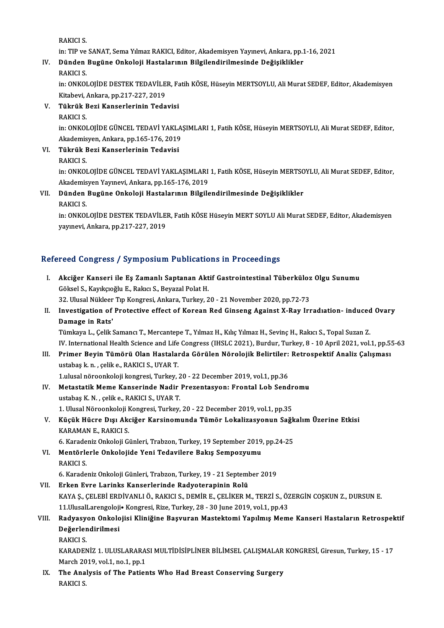RAKICI S.

in: TIP ve SANAT, Sema Yılmaz RAKICI, Editor, Akademisyen Yayınevi, Ankara, pp.1-16, 2021

# RAKICI S.<br>In: TIP ve SANAT, Sema Yılmaz RAKICI, Editor, Akademisyen Yayınevi, Ankara, pp.1<br>IV. Dünden Bugüne Onkoloji Hastalarının Bilgilendirilmesinde Değişiklikler<br>PAKICI S in: TIP ve<br><mark>Dünden</mark><br>RAKICI S.<br>in: ONKOI

Dünden Bugüne Onkoloji Hastalarının Bilgilendirilmesinde Değişiklikler<br>RAKICI S.<br>in: ONKOLOJİDE DESTEK TEDAVİLER, Fatih KÖSE, Hüseyin MERTSOYLU, Ali Murat SEDEF, Editor, Akademisyen<br>Kitabeyi, Ankara np.217,227, 2019 RAKICI S.<br>in: ONKOLOJİDE DESTEK TEDAVİLE<br>Kitabevi, Ankara, pp.217-227, 2019<br>Tükrük Pezi Kanserlerinin Tede Kitabevi, Ankara, pp.217-227, 2019

V. Tükrük Bezi Kanserlerinin Tedavisi

Tükrük Bezi Kanserlerinin Tedavisi<br>RAKICI S.<br>in: ONKOLOJİDE GÜNCEL TEDAVİ YAKLAŞIMLARI 1, Fatih KÖSE, Hüseyin MERTSOYLU, Ali Murat SEDEF, Editor,<br>Akademisyon, Ankara, pp.165-176-2019 RAKICI S.<br>in: ONKOLOJİDE GÜNCEL TEDAVİ YAKLA<br>Akademisyen, Ankara, pp.165-176, 2019<br>Tüknük Pezi Kanserlerinin Tedevisi Akademisyen, Ankara, pp.165-176, 2019

VI. Tükrük Bezi Kanserlerinin Tedavisi in: ONKOLOJİDE GÜNCEL TEDAVİ YAKLAŞIMLARI 1, Fatih KÖSE, Hüseyin MERTSOYLU, Ali Murat SEDEF, Editor, RAKICI S.<br>in: ONKOLOJİDE GÜNCEL TEDAVİ YAKLAŞIMLARI<br>Akademisyen Yayınevi, Ankara, pp.165-176, 2019<br>Dünden Bugüne Onkoloji Hestelerunu Bilgile

### VII. Dünden Bugüne Onkoloji Hastalarının Bilgilendirilmesinde Değişiklikler<br>RAKICI S. Akademis<br><mark>Dünden</mark><br>RAKICI S.<br>in: ONKOI

in: ONKOLOJİDE DESTEK TEDAVİLER, Fatih KÖSE Hüseyin MERT SOYLU Ali Murat SEDEF, Editor, Akademisyen yayınevi,Ankara,pp.217-227,2019

### Refereed Congress / Symposium Publications in Proceedings

efereed Congress / Symposium Publications in Proceedings<br>I. Akciğer Kanseri ile Eş Zamanlı Saptanan Aktif Gastrointestinal Tüberküloz Olgu Sunumu<br>Cöksel S. Kayıkseğlu E. Pelası S. Peyazel Pelat H Sou Göngross 7 by mposium i ushound<br>Akciğer Kanseri ile Eş Zamanlı Saptanan Akt<br>Göksel S., Kayıkçıoğlu E., Rakıcı S., Beyazal Polat H. Göksel S., Kayıkçıoğlu E., Rakıcı S., Beyazal Polat H.<br>32. Ulusal Nükleer Tıp Kongresi, Ankara, Turkey, 20 - 21 November 2020, pp.72-73 Göksel S., Kayıkçıoğlu E., Rakıcı S., Beyazal Polat H.<br>32. Ulusal Nükleer Tıp Kongresi, Ankara, Turkey, 20 - 21 November 2020, pp.72-73<br>II. Investigation of Protective effect of Korean Red Ginseng Against X-Ray Irradıa

# 32. Ulusal Nükleer<br>Investigation of<br>Damage in Rats'<br>Tümkaya L. Calik S Investigation of Protective effect of Korean Red Ginseng Against X-Ray Irradiation- induced<br>Damage in Rats'<br>Tümkaya L., Çelik Samancı T., Mercantepe T., Yılmaz H., Kılıç Yılmaz H., Sevinç H., Rakıcı S., Topal Suzan Z.<br>IV.

Damage in Rats'<br>Tümkaya L., Çelik Samancı T., Mercantepe T., Yılmaz H., Kılıç Yılmaz H., Sevinç H., Rakıcı S., Topal Suzan Z.<br>IV. International Health Science and Life Congress (IHSLC 2021), Burdur, Turkey, 8 - 10 April 20 Tümkaya L., Çelik Samancı T., Mercantepe T., Yılmaz H., Kılıç Yılmaz H., Sevinç H., Rakıcı S., Topal Suzan Z.<br>IV. International Health Science and Life Congress (IHSLC 2021), Burdur, Turkey, 8 - 10 April 2021, vol.1, pp.5<br>

# IV. International Health Science and Life<br>Primer Beyin Tümörü Olan Hastalaı<br>ustabaş k.n. , çelik e., RAKICI S., UYAR T.<br>1 ulusal nöreonkaleji kongresi Turkey Primer Beyin Tümörü Olan Hastalarda Görülen Nörolojik Belirtiler:<br>ustabaş k. n. , çelik e., RAKICI S., UYAR T.<br>1.ulusal nöroonkoloji kongresi, Turkey, 20 - 22 December 2019, vol.1, pp.36<br>Metestatik Meme Kanseninde Nadin Br

1.ulusal nöroonkoloji kongresi, Turkey, 20 - 22 December 2019, vol.1, pp.36

# ustabaş k. n. , çelik e., RAKICI S., UYAR T.<br>1.ulusal nöroonkoloji kongresi, Turkey, 20 - 22 December 2019, vol.1, pp.36<br>IV. Metastatik Meme Kanserinde Nadir Prezentasyon: Frontal Lob Sendromu<br>ustabaş K. N. , çelik e., RAK 1. Ulusal Nöroonkoloji Kongresi, Turkey, 20 - 22 December 2019, vol.1, pp.35

## ustabaş K. N. , çelik e., RAKICI S., UYAR T.<br>1. Ulusal Nöroonkoloji Kongresi, Turkey, 20 - 22 December 2019, vol.1, pp.35<br>1. Küçük Hücre Dışı Akciğer Karsinomunda Tümör Lokalizasyonun Sağkalım Üzerine Etkisi<br>1. KARAMAN E. 1. Ulusal Nöroonkoloji <del>I</del><br>Küçük Hücre Dışı Akı<br>KARAMAN E., RAKICI S.<br>6. Karadaniz Onkoloji G. Küçük Hücre Dışı Akciğer Karsinomunda Tümör Lokalizasyonun Sağk<br>KARAMAN E., RAKICI S.<br>6. Karadeniz Onkoloji Günleri, Trabzon, Turkey, 19 September 2019, pp.24-25<br>Mantörlerle Onkolojide Veni Tedavilere Bakıs Semnezyumu

### KARAMAN E., RAKICI S.<br>6. Karadeniz Onkoloji Günleri, Trabzon, Turkey, 19 September 2019<br>VI. Mentörlerle Onkolojide Yeni Tedavilere Bakış Sempozyumu<br>PAKICI S 6. Karade<br>Mentörle<br>RAKICI S. Mentörlerle Onkolojide Yeni Tedavilere Bakış Sempozyumu<br>RAKICI S.<br>6. Karadeniz Onkoloji Günleri, Trabzon, Turkey, 19 - 21 September 2019<br>Erken Eure Larinke Kanserlerinde Bedyetereninin Belü RAKICI S.<br>6. Karadeniz Onkoloji Günleri, Trabzon, Turkey, 19 - 21 September 2019<br>19. VII. Erken Evre Larinks Kanserlerinde Radyoterapinin Rolü

6. Karadeniz Onkoloji Günleri, Trabzon, Turkey, 19 - 21 September 2019<br>Erken Evre Larinks Kanserlerinde Radyoterapinin Rolü<br>KAYA Ş., ÇELEBİ ERDİVANLI Ö., RAKICI S., DEMİR E., ÇELİKER M., TERZİ S., ÖZERGİN COŞKUN Z., DURSUN Erken Evre Larinks Kanserlerinde Radyoterapinin Rolü<br>KAYA Ş., ÇELEBİ ERDİVANLI Ö., RAKICI S., DEMİR E., ÇELİKER M., TERZİ S., ÖZ<br>11.UlusalLarengoloji• Kongresi, Rize, Turkey, 28 - 30 June 2019, vol.1, pp.43<br>Badyasyan Onkal KAYA Ş., ÇELEBİ ERDİVANLI Ö., RAKICI S., DEMİR E., ÇELİKER M., TERZİ S., ÖZERGİN COŞKUN Z., DURSUN E.<br>11.UlusalLarengoloji• Kongresi, Rize, Turkey, 28 - 30 June 2019, vol.1, pp.43<br>VIII. Radyasyon Onkolojisi Kliniğine B

# 11.UlusalLarengoloji<br>Radyasyon Onkolo<br>Değerlendirilmesi<br>PAKICI S Radyasy<br>Değerler<br>RAKICI S.<br>KARADEN

Değerlendirilmesi<br>RAKICI S.<br>KARADENİZ 1. ULUSLARARASI MULTİDİSİPLİNER BİLİMSEL ÇALIŞMALAR KONGRESİ, Giresun, Turkey, 15 - 17 RAKICI S.<br>KARADENİZ 1. ULUSLARARA:<br>March 2019, vol.1, no.1, pp.1<br>The Analysis of The Batier KARADENİZ 1. ULUSLARARASI MULTİDİSİPLİNER BİLİMSEL ÇALIŞMALAR<br>March 2019, vol.1, no.1, pp.1<br>IX. The Analysis of The Patients Who Had Breast Conserving Surgery<br>PAKICI S

March 20<br><mark>The Ana</mark><br>RAKICI S.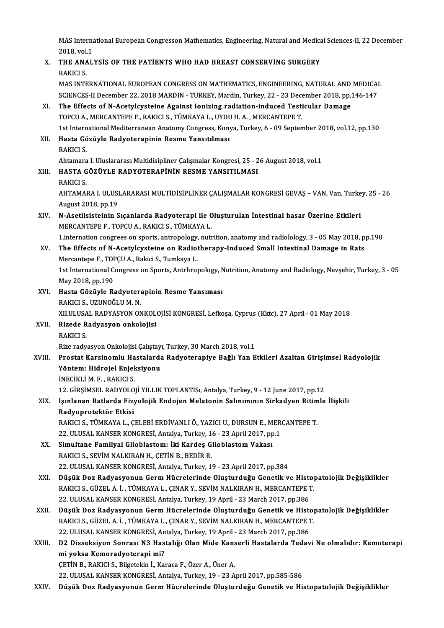MAS International European Congresson Mathematics, Engineering, Natural and Medical Sciences-II, 22 December<br>2018, vol.1 MAS Interna<br>2018, vol.1<br>THE ANAL MAS International European Congresson Mathematics, Engineering, Natural and Medica<br>2018, vol.1<br>X. THE ANALYSIS OF THE PATIENTS WHO HAD BREAST CONSERVING SURGERY

# 2018, vol.1<br>
X. THE ANALYSIS OF THE PATIENTS WHO HAD BREAST CONSERVING SURGERY<br>
RAKICI S.

MAS INTERNATIONAL EUROPEAN CONGRESS ON MATHEMATICS, ENGINEERING, NATURAL AND MEDICAL RAKICI S.<br>MAS INTERNATIONAL EUROPEAN CONGRESS ON MATHEMATICS, ENGINEERING, NATURAL AND MEDICAI<br>SCIENCES-II December 22, 2018 MARDIN - TURKEY, Mardin, Turkey, 22 - 23 December 2018, pp.146-147<br>The Effects of N Asotyleystein MAS INTERNATIONAL EUROPEAN CONGRESS ON MATHEMATICS, ENGINEERING, NATURAL AND<br>SCIENCES-II December 22, 2018 MARDIN - TURKEY, Mardin, Turkey, 22 - 23 December 2018, pp.<br>XI. The Effects of N-Acetylcysteine Against Ionizing ra

SCIENCES-II December 22, 2018 MARDIN - TURKEY, Mardin, Turkey, 22 - 23 December 22, 2018 MARDIN - TURKEY, Mardin, Turkey, 22 - 23 December 2.<br>The Effects of N-Acetylcysteine Against Ionizing radiation-induced Testi<br>TOPCU A XI. The Effects of N-Acetylcysteine Against Ionizing radiation-induced Testicular Damage<br>TOPCU A., MERCANTEPE F., RAKICI S., TÜMKAYA L., UYDU H. A., MERCANTEPE T.<br>1st International Mediterranean Anatomy Congress, Konya, Tu TOPCU A., MERCANTEPE F., RAKICI S., TÜMKAYA L., UYDU<br>1st International Mediterranean Anatomy Congress, Kony<br>XII. Hasta Gözüyle Radyoterapinin Resme Yansıtılması<br>PAKICI S

1st Intern<br>Hasta Gö<br>RAKICI S.<br>Aktamara RAKICI S.<br>Ahtamara I. Uluslararası Multidisipliner Çalışmalar Kongresi, 25 - 26 August 2018, vol.1 RAKICI S.<br>Ahtamara I. Uluslararası Multidisipliner Çalışmalar Kongresi, 25 - 2<br>XIII. HASTA GÖZÜYLE RADYOTERAPİNİN RESME YANSITILMASI<br>PAKICI S

# Ahtamara<br>HASTA G<br>RAKICI S.<br>AHTAMAL

HASTA GÖZÜYLE RADYOTERAPİNİN RESME YANSITILMASI<br>RAKICI S.<br>AHTAMARA I. ULUSLARARASI MULTİDİSİPLİNER ÇALIŞMALAR KONGRESİ GEVAŞ – VAN, Van, Turkey, 25 - 26<br>August 2018, pp.19 RAKICI S.<br>AHTAMARA I. ULUSI<br>August 2018, pp.19<br>N. Acetileisteinin S AHTAMARA I. ULUSLARARASI MULTIDISIPLINER ÇALIŞMALAR KONGRESI GEVAŞ – VAN, Van, Turke<br>August 2018, pp.19<br>XIV. N-Asetilsisteinin Sıçanlarda Radyoterapi ile Oluşturulan İntestinal hasar Üzerine Etkileri<br>MERCANTERE E. TORCU A.

### August 2018, pp.19<br>N-Asetilsisteinin Sıçanlarda Radyoterapi ile C<br>MERCANTEPE F., TOPCU A., RAKICI S., TÜMKAYA L.<br>1 internation sengrees en sperts antronelegy putt N-Asetilsisteinin Sıçanlarda Radyoterapi ile Oluşturulan İntestinal hasar Üzerine Etkileri<br>MERCANTEPE F., TOPCU A., RAKICI S., TÜMKAYA L.<br>1.internation congrees on sports, antropology, nutrition, anatomy and radiolology, 3 MERCANTEPE F., TOPCU A., RAKICI S., TÜMKAYA L.<br>1.internation congrees on sports, antropology, nutrition, anatomy and radiolology, 3 - 05 May 2018, p<br>XV. The Effects of N-Acetylcysteine on Radiotherapy-Induced Small Int

### 1.internation congrees on sports, antropology,<br>The Effects of N-Acetylcysteine on Radiot<br>Mercantepe F., TOPÇU A., Rakici S., Tumkaya L.<br>1st International Congress on Sports, Antrhroi Mercantepe F., TOPÇU A., Rakici S., Tumkaya L.

1st International Congress on Sports, Antrhropology, Nutrition, Anatomy and Radiology, Nevşehir, Turkey, 3 - 05<br>May 2018, pp.190 1st International Congress on Sports, Antrhropology, N<br>May 2018, pp.190<br>XVI. Hasta Gözüyle Radyoterapinin Resme Yansıması<br>PAKICI S-UZUNOČULM N

- May 2018, pp.190<br><mark>Hasta Gözüyle Radyoter:</mark><br>RAKICI S., UZUNOĞLU M. N.<br>YU ULUSAL RADYASYON ON Hasta Gözüyle Radyoterapinin Resme Yansıması<br>RAKICI S., UZUNOĞLU M. N.<br>XII.ULUSAL RADYASYON ONKOLOJİSİ KONGRESİ, Lefkoşa, Cyprus (Kktc), 27 April - 01 May 2018<br>Bizode Badyasyon onkolojisi
- RAKICI S., UZUNOĞLU M. N.<br>XII.ULUSAL RADYASYON ONKOLA<br>XVII. Rizede Radyasyon onkolojisi<br>RAKICI S. XILULUSA<br>Rizede R<br>RAKICI S.<br>Rizerodu Rizede Radyasyon onkolojisi<br>RAKICI S.<br>Rize radyasyon Onkolojisi Çalıştayı, Turkey, 30 March 2018, vol.1<br>Prestat Karsinemlu Hestalarda Badyıstaraniya Bağlı Yan E

### RAKICI S.<br>Rize radyasyon Onkolojisi Çalıştayı, Turkey, 30 March 2018, vol.1<br>XVIII. Prostat Karsinomlu Hastalarda Radyoterapiye Bağlı Yan Etkileri Azaltan Girişimsel Radyolojik<br>Yöntem: Hidroiel Enieksiyen: Rize radyasyon Onkolojisi Çalıştayı<br>Prostat Karsinomlu Hastalarda<br>Yöntem: Hidrojel Enjeksiyonu<br>İNECİKLİ M.E., RAKICLS Prostat Karsinomlu Ha<br>Yöntem: Hidrojel Enjel<br>İNECİKLİ M. F., RAKICI S.<br>12 ÇİRSİMSEL BADYOLO 12.Gintem: Hidrojel Enjeksiyonu<br>12.GİRLİM.F., RAKICI S.<br>12.GİRŞİMSEL RADYOLOJİ YILLIK TOPLANTISı, Antalya, Turkey, 9 - 12 June 2017, pp.12

### İNECİKLİ M. F. , RAKICI S.<br>12. GİRŞİMSEL RADYOLOJİ YILLIK TOPLANTISı, Antalya, Turkey, 9 - 12 June 2017, pp.12<br>XIX. Işınlanan Ratlarda Fizyolojik Endojen Melatonin Salınımının Sirkadyen Ritimle İlişkili<br>Radyennataktân 12. GİRŞİMSEL RADYOLO<br>Işınlanan Ratlarda Fizy<br>Radyoprotektör Etkisi<br>BAKICLS TÜMKAYAL G Işınlanan Ratlarda Fizyolojik Endojen Melatonin Salınımının Sirkadyen Ritim<br>Radyoprotektör Etkisi<br>RAKICI S., TÜMKAYA L., ÇELEBİ ERDİVANLI Ö., YAZICI U., DURSUN E., MERCANTEPE T.<br>22. HUJSAL KANSER KONCRESİ ARTAkız Turkey 16 Radyoprotektör Etkisi<br>RAKICI S., TÜMKAYA L., ÇELEBİ ERDİVANLI Ö., YAZICI U., DURSUN E., MERCANTEPE T.<br>22. ULUSAL KANSER KONGRESİ, Antalya, Turkey, 16 - 23 April 2017, pp.1

- RAKICI S., TÜMKAYA L., ÇELEBİ ERDİVANLI Ö., YAZICI U., DURSUN E., M<br>22. ULUSAL KANSER KONGRESİ, Antalya, Turkey, 16 23 April 2017, pp<br>XX. Simultane Familyal Glioblastom: İki Kardeş Glioblastom Vakası<br>PAKICI S. SEVİM NALK 22. ULUSAL KANSER KONGRESİ, Antalya, Turkey, 1<br>Simultane Familyal Glioblastom: İki Kardeş G<br>RAKICI S., SEVİM NALKIRAN H., ÇETİN B., BEDİR R.<br>22. ULUSAL KANSER KONGRESİ, Antalya Turkov, 1 Simultane Familyal Glioblastom: İki Kardeş Glioblastom Vakası<br>RAKICI S., SEVİM NALKIRAN H., ÇETİN B., BEDİR R.<br>22. ULUSAL KANSER KONGRESİ, Antalya, Turkey, 19 - 23 April 2017, pp.384<br>Düşük Dez Badyasyanun Cerm Hüsrelerinde
- RAKICI S., SEVİM NALKIRAN H., ÇETİN B., BEDİR R.<br>22. ULUSAL KANSER KONGRESİ, Antalya, Turkey, 19 23 April 2017, pp.384<br>XXI. Düşük Doz Radyasyonun Germ Hücrelerinde Oluşturduğu Genetik ve Histopatolojik Değişiklikler<br>RAKI 22. ULUSAL KANSER KONGRESİ, Antalya, Turkey, 19 - 23 April 2017, pp.384<br>Düşük Doz Radyasyonun Germ Hücrelerinde Oluşturduğu Genetik ve Histo<sub>l</sub><br>RAKICI S., GÜZEL A. İ. , TÜMKAYA L., ÇINAR Y., SEVİM NALKIRAN H., MERCANTEPE T Düşük Doz Radyasyonun Germ Hücrelerinde Oluşturduğu Genetik ve History<br>RAKICI S., GÜZEL A. İ. , TÜMKAYA L., ÇINAR Y., SEVİM NALKIRAN H., MERCANTEPE 1<br>22. ULUSAL KANSER KONGRESİ, Antalya, Turkey, 19 April - 23 March 2017, p RAKICI S., GÜZEL A. İ. , TÜMKAYA L., ÇINAR Y., SEVİM NALKIRAN H., MERCANTEPE T.<br>22. ULUSAL KANSER KONGRESİ, Antalya, Turkey, 19 April - 23 March 2017, pp.386<br>XXII. Düşük Doz Radyasyonun Germ Hücrelerinde Oluşturduğu Ge
- 22. ULUSAL KANSER KONGRESİ, Antalya, Turkey, 19 April 23 March 2017, pp.386<br>Düşük Doz Radyasyonun Germ Hücrelerinde Oluşturduğu Genetik ve Histo<sub>l</sub><br>RAKICI S., GÜZEL A. İ. , TÜMKAYA L., ÇINAR Y., SEVİM NALKIRAN H., MERCAN Düşük Doz Radyasyonun Germ Hücrelerinde Oluşturduğu Genetik ve History<br>RAKICI S., GÜZEL A. İ. , TÜMKAYA L., ÇINAR Y., SEVİM NALKIRAN H., MERCANTEPE 1<br>22. ULUSAL KANSER KONGRESİ, Antalya, Turkey, 19 April - 23 March 2017, p

RAKICI S., GÜZEL A. İ. , TÜMKAYA L., ÇINAR Y., SEVİM NALKIRAN H., MERCANTEPE T.<br>22. ULUSAL KANSER KONGRESİ, Antalya, Turkey, 19 April - 23 March 2017, pp.386<br>XXIII. D2 Disseksiyon Sonrası N3 Hastalığı Olan Mide Kanserl 22. ULUSAL KANSER KONGRESİ, An<br>D2 Disseksiyon Sonrası N3 Has<br>mi yoksa Kemoradyoterapi mi?<br>CETİN B. BAKICI S. Bilastelin İ. Ko D2 Disseksiyon Sonrası N3 Hastalığı Olan Mide Kans<br>mi yoksa Kemoradyoterapi mi?<br>ÇETİN B., RAKICI S., Bilgetekin İ., Karaca F., Özer A., Üner A.<br>22 H.HSAL KANSER KONCRESİ Antalya Turkay 19, 22 A mi yoksa Kemoradyoterapi mi?<br>ÇETİN B., RAKICI S., Bilgetekin İ., Karaca F., Özer A., Üner A.<br>22. ULUSAL KANSER KONGRESİ, Antalya, Turkey, 19 - 23 April 2017, pp.585-586

XXIV. Düşük Doz Radyasyonun GermHücrelerinde Oluşturduğu Genetik ve Histopatolojik Değişiklikler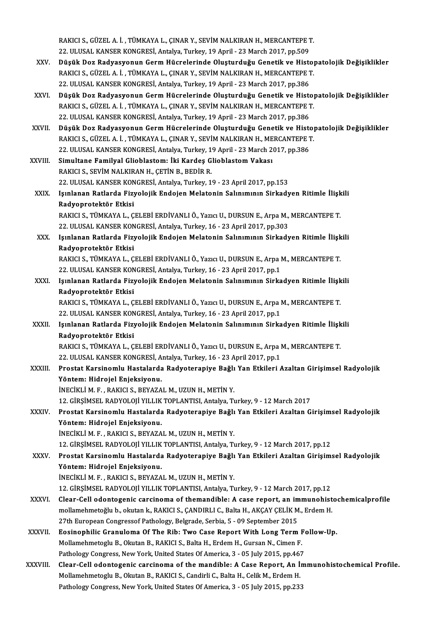RAKICI S., GÜZEL A. İ. , TÜMKAYA L., ÇINAR Y., SEVİM NALKIRAN H., MERCANTEPE T.<br>22. ULUSAL KANSER KONCRESİ, Artakya Turkay, 19 April., 22 Marsh 2017, pp. 509. 22. RAKICI S., GÜZEL A. İ. , TÜMKAYA L., ÇINAR Y., SEVİM NALKIRAN H., MERCANTEPE<br>22. ULUSAL KANSER KONGRESİ, Antalya, Turkey, 19 April - 23 March 2017, pp.509<br>Düsük Der Bedyseysaun Cerm Hüspelerinde Olusturduğu Cenetik ve RAKICI S., GÜZEL A. İ. , TÜMKAYA L., ÇINAR Y., SEVİM NALKIRAN H., MERCANTEPE T.<br>22. ULUSAL KANSER KONGRESİ, Antalya, Turkey, 19 April - 23 March 2017, pp.509<br>XXV. Düşük Doz Radyasyonun Germ Hücrelerinde Oluşturduğu Gen 22. ULUSAL KANSER KONGRESİ, Antalya, Turkey, 19 April - 23 March 2017, pp.509<br>Düşük Doz Radyasyonun Germ Hücrelerinde Oluşturduğu Genetik ve Histo<sub>l</sub><br>RAKICI S., GÜZEL A. İ. , TÜMKAYA L., ÇINAR Y., SEVİM NALKIRAN H., MERCAN Düşük Doz Radyasyonun Germ Hücrelerinde Oluşturduğu Genetik ve History<br>RAKICI S., GÜZEL A. İ. , TÜMKAYA L., ÇINAR Y., SEVİM NALKIRAN H., MERCANTEPE 1<br>22. ULUSAL KANSER KONGRESİ, Antalya, Turkey, 19 April - 23 March 2017, p RAKICI S., GÜZEL A. İ. , TÜMKAYA L., ÇINAR Y., SEVİM NALKIRAN H., MERCANTEPE T.<br>22. ULUSAL KANSER KONGRESİ, Antalya, Turkey, 19 April - 23 March 2017, pp.386<br>XXVI. Düşük Doz Radyasyonun Germ Hücrelerinde Oluşturduğu Ge 22. ULUSAL KANSER KONGRESİ, Antalya, Turkey, 19 April - 23 March 2017, pp.386<br>Düşük Doz Radyasyonun Germ Hücrelerinde Oluşturduğu Genetik ve Histo<sub>l</sub><br>RAKICI S., GÜZEL A. İ. , TÜMKAYA L., ÇINAR Y., SEVİM NALKIRAN H., MERCAN Düşük Doz Radyasyonun Germ Hücrelerinde Oluşturduğu Genetik ve History<br>RAKICI S., GÜZEL A. İ. , TÜMKAYA L., ÇINAR Y., SEVİM NALKIRAN H., MERCANTEPE 1<br>22. ULUSAL KANSER KONGRESİ, Antalya, Turkey, 19 April - 23 March 2017, p RAKICI S., GÜZEL A. İ. , TÜMKAYA L., ÇINAR Y., SEVİM NALKIRAN H., MERCANTEPE T.<br>22. ULUSAL KANSER KONGRESİ, Antalya, Turkey, 19 April - 23 March 2017, pp.386<br>XXVII. Düşük Doz Radyasyonun Germ Hücrelerinde Oluşturduğu Genet 22. ULUSAL KANSER KONGRESİ, Antalya, Turkey, 19 April - 23 March 2017, pp.386<br>Düşük Doz Radyasyonun Germ Hücrelerinde Oluşturduğu Genetik ve Histo<sub>l</sub><br>RAKICI S., GÜZEL A. İ. , TÜMKAYA L., ÇINAR Y., SEVİM NALKIRAN H., MERCAN Düşük Doz Radyasyonun Germ Hücrelerinde Oluşturduğu Genetik ve History<br>RAKICI S., GÜZEL A. İ. , TÜMKAYA L., ÇINAR Y., SEVİM NALKIRAN H., MERCANTEPE 1<br>22. ULUSAL KANSER KONGRESİ, Antalya, Turkey, 19 April - 23 March 2017, p

RAKICI S., GÜZEL A. İ. , TÜMKAYA L., ÇINAR Y., SEVİM NALKIRAN H., MERCANTEPE T.<br>22. ULUSAL KANSER KONGRESİ, Antalya, Turkey, 19 April - 23 March 2017, pp.386<br>XXVIII. Simultane Familyal Glioblastom: İki Kardeş Glioblast RAKICI S., SEVİM NALKIRAN H., ÇETİN B., BEDİR R. Simultane Familyal Glioblastom: İki Kardeş Glioblastom Vakası<br>RAKICI S., SEVİM NALKIRAN H., ÇETİN B., BEDİR R.<br>22. ULUSAL KANSER KONGRESİ, Antalya, Turkey, 19 - 23 April 2017, pp.153<br>Jeunlanan Patlanda Eigualajik Endajan M RAKICI S., SEVİM NALKIRAN H., ÇETİN B., BEDİR R.<br>22. ULUSAL KANSER KONGRESİ, Antalya, Turkey, 19 - 23 April 2017, pp.153<br>XXIX. Işınlanan Ratlarda Fizyolojik Endojen Melatonin Salınımının Sirkadyen Ritimle İlişkili<br>Radvonna 22. ULUSAL KANSER KON<br>Işınlanan Ratlarda Fizy<br>Radyoprotektör Etkisi<br>BAKICLS, TÜMKAYAL C Işınlanan Ratlarda Fizyolojik Endojen Melatonin Salınımının Sirkadyen Ritimle İlişk<br>Radyoprotektör Etkisi<br>RAKICI S., TÜMKAYA L., ÇELEBİ ERDİVANLI Ö., Yazıcı U., DURSUN E., Arpa M., MERCANTEPE T.<br>22. HLUSAL KANSER KONCRESİ Radyoprotektör Etkisi<br>RAKICI S., TÜMKAYA L., ÇELEBİ ERDİVANLI Ö., Yazıcı U., DURSUN E., Arpa M., MERCANTEPE T.<br>22. ULUSAL KANSER KONGRESİ, Antalya, Turkey, 16 - 23 April 2017, pp.303

XXX. Işınlanan Ratlarda Fizyolojik Endojen Melatonin Salınımının Sirkadyen Ritimle İlişkili Radyoprotektör Etkisi RAKICI S., TÜMKAYA L., ÇELEBİ ERDİVANLI Ö., Yazıcı U., DURSUN E., Arpa M., MERCANTEPE T. Radyoprotektör Etkisi<br>RAKICI S., TÜMKAYA L., ÇELEBİ ERDİVANLI Ö., Yazıcı U., DURSUN E., Arpa I<br>22. ULUSAL KANSER KONGRESİ, Antalya, Turkey, 16 - 23 April 2017, pp.1<br>Jevnlanan Patlarda Eisyolojik Endojan Malatonin Salınımın

RAKICI S., TÜMKAYA L., ÇELEBİ ERDİVANLI Ö., Yazıcı U., DURSUN E., Arpa M., MERCANTEPE T.<br>22. ULUSAL KANSER KONGRESİ, Antalya, Turkey, 16 - 23 April 2017, pp.1<br>XXXI. Işınlanan Ratlarda Fizyolojik Endojen Melatonin Salınımın 22. ULUSAL KANSER KON<br>Işınlanan Ratlarda Fizy<br>Radyoprotektör Etkisi<br>BAKICLS TÜMKAYAL C Işınlanan Ratlarda Fizyolojik Endojen Melatonin Salınımının Sirkadyen Ritimle İlişk<br>Radyoprotektör Etkisi<br>RAKICI S., TÜMKAYA L., ÇELEBİ ERDİVANLI Ö., Yazıcı U., DURSUN E., Arpa M., MERCANTEPE T.<br>22 HI USAL KANSER KONCRESİ

Radyoprotektör Etkisi<br>RAKICI S., TÜMKAYA L., ÇELEBİ ERDİVANLI Ö., Yazıcı U., DURSUN E., Arpa I<br>22. ULUSAL KANSER KONGRESİ, Antalya, Turkey, 16 - 23 April 2017, pp.1<br>Jevnlanan Patlanda Eigyelejik Endejan Malatanin Salınımın

RAKICI S., TÜMKAYA L., ÇELEBİ ERDİVANLI Ö., Yazıcı U., DURSUN E., Arpa M., MERCANTEPE T.<br>22. ULUSAL KANSER KONGRESİ, Antalya, Turkey, 16 - 23 April 2017, pp.1<br>XXXII. Işınlanan Ratlarda Fizyolojik Endojen Melatonin Salınımı 22. ULUSAL KANSER KON<br>Işınlanan Ratlarda Fizy<br>Radyoprotektör Etkisi<br>BAKICLS TÜMKAYAL C Işınlanan Ratlarda Fizyolojik Endojen Melatonin Salınımının Sirkadyen Ritimle İlişk<br>Radyoprotektör Etkisi<br>RAKICI S., TÜMKAYA L., ÇELEBİ ERDİVANLI Ö., Yazıcı U., DURSUN E., Arpa M., MERCANTEPE T.<br>22 HI USAL KANSER KONCRESİ Radyoprotektör Etkisi<br>RAKICI S., TÜMKAYA L., ÇELEBİ ERDİVANLI Ö., Yazıcı U., DURSUN E., Arpa I<br>22. ULUSAL KANSER KONGRESİ, Antalya, Turkey, 16 - 23 April 2017, pp.1<br>Prestat Karsinomlu Hestalarda Badystananiye Beğli Yan Etk

### 22. ULUSAL KANSER KONGRESİ, Antalya, Turkey, 16 - 23 April 2017, pp.1<br>XXXIII. Prostat Karsinomlu Hastalarda Radyoterapiye Bağlı Yan Etkileri Azaltan Girişimsel Radyolojik Yöntem: Hidrojel Enjeksiyonu.

İNECİKLİM.F., RAKICI S., BEYAZALM., UZUNH., METİNY.

12.GİRŞİMSELRADYOLOJİYILLIKTOPLANTISI,Antalya,Turkey,9 -12March 2017

İNECİKLİ M. F. , RAKICI S., BEYAZAL M., UZUN H., METİN Y.<br>12. GİRŞİMSEL RADYOLOJİ YILLIK TOPLANTISI, Antalya, Turkey, 9 - 12 March 2017<br>XXXIV. Prostat Karsinomlu Hastalarda Radyoterapiye Bağlı Yan Etkileri Azaltan Giri 12. GİRŞİMSEL RADYOLOJİ YILLIK<br>Prostat Karsinomlu Hastalarda<br>Yöntem: Hidrojel Enjeksiyonu.<br>İNEÇİKLİ M.E., BAKIÇI S. BEYAZA Prostat Karsinomlu Hastalarda Radyoterapiye Bağlı<br>Yöntem: Hidrojel Enjeksiyonu.<br>İNECİKLİ M. F., RAKICI S., BEYAZAL M., UZUN H., METİN Y.<br>12. CİPSİMSEL RADYOLOU VILLIK TORLANTISL Antakıa Tı Yöntem: Hidrojel Enjeksiyonu.<br>İNECİKLİ M. F. , RAKICI S., BEYAZAL M., UZUN H., METİN Y.<br>12. GİRŞİMSEL RADYOLOJİ YILLIK TOPLANTISI, Antalya, Turkey, 9 - 12 March 2017, pp.12<br>Prestat Karsinomlu Hastalarda Padyataraniya Bağlı

İNECİKLİ M. F. , RAKICI S., BEYAZAL M., UZUN H., METİN Y.<br>12. GİRŞİMSEL RADYOLOJİ YILLIK TOPLANTISI, Antalya, Turkey, 9 - 12 March 2017, pp.12<br>XXXV. Prostat Karsinomlu Hastalarda Radyoterapiye Bağlı Yan Etkileri Azalta 12. GİRŞİMSEL RADYOLOJİ YILLIK<br>Prostat Karsinomlu Hastalarda<br>Yöntem: Hidrojel Enjeksiyonu.<br>İNECİKLİ M.E., BAKICLS, BEYAZA Yöntem: Hidrojel Enjeksiyonu.<br>İNECİKLİ M. F. , RAKICI S., BEYAZAL M., UZUN H., METİN Y.<br>12. GİRŞİMSEL RADYOLOJİ YILLIK TOPLANTISI, Antalya, Turkey, 9 - 12 March 2017, pp.12<br>Clear Call adaptaganis sarsinama of thamandible:

İNECİKLİM.F., RAKICI S., BEYAZALM., UZUNH., METİNY.

- iNECiKLI M. F. , RAKICI S., BEYAZAL M., UZUN H., METIN Y.<br>12. GIRŞİMSEL RADYOLOJİ YILLIK TOPLANTISI, Antalya, Turkey, 9 12 March 2017, pp.12<br>XXXVI. Clear-Cell odontogenic carcinoma of themandible: A case report, an immun 12. GİRŞİMSEL RADYOLOJİ YILLIK TOPLANTISI, Antalya, Turkey, 9 - 12 March 2017, pp.12<br>Clear-Cell odontogenic carcinoma of themandible: A case report, an immunohist<br>mollamehmetoğlu b., okutan k., RAKICI S., ÇANDIRLI C., Balt Clear-Cell odontogenic carcinoma of themandible: A case report, an im<br>mollamehmetoğlu b., okutan k., RAKICI S., ÇANDIRLI C., Balta H., AKÇAY ÇELİK M<br>27th European Congressof Pathology, Belgrade, Serbia, 5 - 09 September 20 mollamehmetoğlu b., okutan k., RAKICI S., ÇANDIRLI C., Balta H., AKÇAY ÇELİK M., Erdem H.<br>27th European Congressof Pathology, Belgrade, Serbia, 5 - 09 September 2015<br>XXXVII. Eosinophilic Granuloma Of The Rib: Two Case
- 27th European Congressof Pathology, Belgrade, Serbia, 5 09 September 2015<br>Eosinophilic Granuloma Of The Rib: Two Case Report With Long Term F.<br>Mollamehmetoglu B., Okutan B., RAKICI S., Balta H., Erdem H., Gursan N., Cime Eosinophilic Granuloma Of The Rib: Two Case Report With Long Term F<br>Mollamehmetoglu B., Okutan B., RAKICI S., Balta H., Erdem H., Gursan N., Cimen F.<br>Pathology Congress, New York, United States Of America, 3 - 05 July 2015 Pathology Congress, New York, United States Of America, 3 - 05 July 2015, pp.467
- XXXVIII. Clear-Cell odontogenic carcinoma of the mandible: A Case Report, An İmmunohistochemical Profile.<br>Mollamehmetoglu B., Okutan B., RAKICI S., Candirli C., Balta H., Celik M., Erdem H. Pathology Congress, New York, United States Of America, 3 - 05 July 2015, pp.233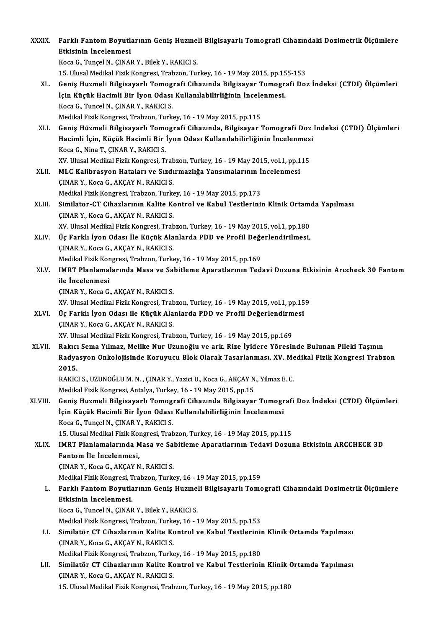| XXXIX.  | Farklı Fantom Boyutlarının Geniş Huzmeli Bilgisayarlı Tomografi Cihazındaki Dozimetrik Ölçümlere                                 |
|---------|----------------------------------------------------------------------------------------------------------------------------------|
|         | Etkisinin İncelenmesi                                                                                                            |
|         | Koca G., Tunçel N., ÇINAR Y., Bilek Y., RAKICI S.                                                                                |
|         | 15. Ulusal Medikal Fizik Kongresi, Trabzon, Turkey, 16 - 19 May 2015, pp.155-153                                                 |
| XL.     | Geniş Huzmeli Bilgisayarlı Tomografi Cihazında Bilgisayar Tomografi Doz İndeksi (CTDI) Ölçümleri                                 |
|         | İçin Küçük Hacimli Bir İyon Odası Kullanılabilirliğinin İncelenmesi.                                                             |
|         | Koca G., Tuncel N., ÇINAR Y., RAKICI S.                                                                                          |
|         | Medikal Fizik Kongresi, Trabzon, Turkey, 16 - 19 May 2015, pp.115                                                                |
| XLI.    | Geniş Hüzmeli Bilgisayarlı Tomografi Cihazında, Bilgisayar Tomografi Doz Indeksi (CTDI) Ölçümleri                                |
|         | Hacimli İçin, Küçük Hacimli Bir İyon Odası Kullanılabilirliğinin İncelenmesi                                                     |
|         | Koca G., Nina T., CINAR Y., RAKICI S.                                                                                            |
|         | XV. Ulusal Medikal Fizik Kongresi, Trabzon, Turkey, 16 - 19 May 2015, vol.1, pp.115                                              |
| XLII.   | MLC Kalibrasyon Hataları ve Sızdırmazlığa Yansımalarının İncelenmesi                                                             |
|         | ÇINAR Y., Koca G., AKÇAY N., RAKICI S.                                                                                           |
|         | Medikal Fizik Kongresi, Trabzon, Turkey, 16 - 19 May 2015, pp.173                                                                |
| XLIII.  | Similator-CT Cihazlarının Kalite Kontrol ve Kabul Testlerinin Klinik Ortamda Yapılması                                           |
|         | ÇINAR Y., Koca G., AKÇAY N., RAKICI S.                                                                                           |
|         | XV. Ulusal Medikal Fizik Kongresi, Trabzon, Turkey, 16 - 19 May 2015, vol.1, pp.180                                              |
| XLIV.   | Üç Farklı İyon Odası İle Küçük Alanlarda PDD ve Profil Değerlendirilmesi,                                                        |
|         | ÇINAR Y., Koca G., AKÇAY N., RAKICI S.                                                                                           |
|         | Medikal Fizik Kongresi, Trabzon, Turkey, 16 - 19 May 2015, pp.169                                                                |
| XLV.    | IMRT Planlamalarında Masa ve Sabitleme Aparatlarının Tedavi Dozuna Etkisinin Arccheck 30 Fantom<br>ile Incelenmesi               |
|         | ÇINAR Y., Koca G., AKÇAY N., RAKICI S.                                                                                           |
|         | XV. Ulusal Medikal Fizik Kongresi, Trabzon, Turkey, 16 - 19 May 2015, vol.1, pp.159                                              |
| XLVI.   | Üç Farklı İyon Odası ile Küçük Alanlarda PDD ve Profil Değerlendirmesi                                                           |
|         | CINAR Y., Koca G., AKÇAY N., RAKICI S.                                                                                           |
|         | XV. Ulusal Medikal Fizik Kongresi, Trabzon, Turkey, 16 - 19 May 2015, pp.169                                                     |
| XLVII.  | Rakıcı Sema Yılmaz, Melike Nur Uzunoğlu ve ark. Rize İyidere Yöresinde Bulunan Pileki Taşının                                    |
|         | Radyasyon Onkolojisinde Koruyucu Blok Olarak Tasarlanması. XV. Medikal Fizik Kongresi Trabzon                                    |
|         | 2015.                                                                                                                            |
|         | RAKICI S., UZUNOĞLU M. N., ÇINAR Y., Yazici U., Koca G., AKÇAY N., Yilmaz E. C.                                                  |
|         | Medikal Fizik Kongresi, Antalya, Turkey, 16 - 19 May 2015, pp.15                                                                 |
| XLVIII. | Geniş Huzmeli Bilgisayarlı Tomografi Cihazında Bilgisayar Tomografi Doz İndeksi (CTDI) Ölçümleri                                 |
|         | İçin Küçük Hacimli Bir İyon Odası Kullanılabilirliğinin İncelenmesi                                                              |
|         | Koca G., Tunçel N., ÇINAR Y., RAKICI S.                                                                                          |
|         | 15. Ulusal Medikal Fizik Kongresi, Trabzon, Turkey, 16 - 19 May 2015, pp.115                                                     |
| XLIX.   | IMRT Planlamalarında Masa ve Sabitleme Aparatlarının Tedavi Dozuna Etkisinin ARCCHECK 3D                                         |
|         | Fantom lle Incelenmesi,                                                                                                          |
|         | ÇINAR Y., Koca G., AKÇAY N., RAKICI S.                                                                                           |
|         | Medikal Fizik Kongresi, Trabzon, Turkey, 16 - 19 May 2015, pp.159                                                                |
| L.      | Farklı Fantom Boyutlarının Geniş Huzmeli Bilgisayarlı Tomografi Cihazındaki Dozimetrik Ölçümlere                                 |
|         | Etkisinin İncelenmesi.                                                                                                           |
|         | Koca G., Tuncel N., ÇINAR Y., Bilek Y., RAKICI S.                                                                                |
|         | Medikal Fizik Kongresi, Trabzon, Turkey, 16 - 19 May 2015, pp.153                                                                |
| LI.     | Similatör CT Cihazlarının Kalite Kontrol ve Kabul Testlerinin Klinik Ortamda Yapılması                                           |
|         | ÇINAR Y., Koca G., AKÇAY N., RAKICI S.                                                                                           |
|         | Medikal Fizik Kongresi, Trabzon, Turkey, 16 - 19 May 2015, pp.180                                                                |
| LII.    | Similatör CT Cihazlarının Kalite Kontrol ve Kabul Testlerinin Klinik Ortamda Yapılması<br>ÇINAR Y., Koca G., AKÇAY N., RAKICI S. |
|         | 15. Ulusal Medikal Fizik Kongresi, Trabzon, Turkey, 16 - 19 May 2015, pp.180                                                     |
|         |                                                                                                                                  |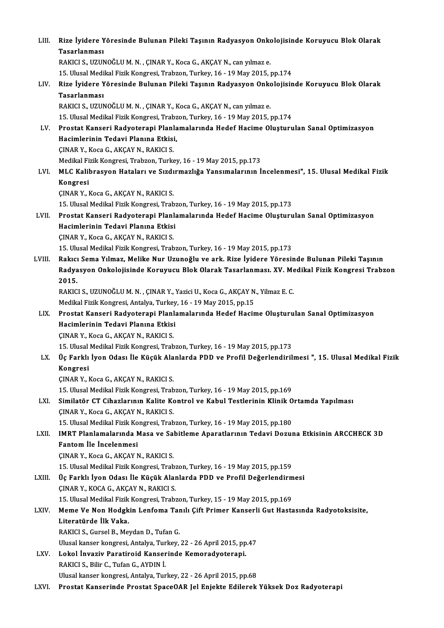| LIII.  | Rize İyidere Yöresinde Bulunan Pileki Taşının Radyasyon Onkolojisinde Koruyucu Blok Olarak           |
|--------|------------------------------------------------------------------------------------------------------|
|        | <b>Tasarlanması</b>                                                                                  |
|        | RAKICI S., UZUNOĞLU M. N., ÇINAR Y., Koca G., AKÇAY N., can yılmaz e.                                |
|        | 15. Ulusal Medikal Fizik Kongresi, Trabzon, Turkey, 16 - 19 May 2015, pp.174                         |
| LIV.   | Rize İyidere Yöresinde Bulunan Pileki Taşının Radyasyon Onkolojisinde Koruyucu Blok Olarak           |
|        | Tasarlanması                                                                                         |
|        | RAKICI S., UZUNOĞLU M. N., ÇINAR Y., Koca G., AKÇAY N., can yılmaz e.                                |
|        | 15. Ulusal Medikal Fizik Kongresi, Trabzon, Turkey, 16 - 19 May 2015, pp.174                         |
| LV.    | Prostat Kanseri Radyoterapi Planlamalarında Hedef Hacime Oluşturulan Sanal Optimizasyon              |
|        | Hacimlerinin Tedavi Planına Etkisi,                                                                  |
|        | ÇINAR Y., Koca G., AKÇAY N., RAKICI S.                                                               |
|        | Medikal Fizik Kongresi, Trabzon, Turkey, 16 - 19 May 2015, pp.173                                    |
| LVI.   | MLC Kalibrasyon Hataları ve Sızdırmazlığa Yansımalarının İncelenmesi", 15. Ulusal Medikal Fizik      |
|        | Kongresi                                                                                             |
|        | ÇINAR Y., Koca G., AKÇAY N., RAKICI S.                                                               |
|        | 15. Ulusal Medikal Fizik Kongresi, Trabzon, Turkey, 16 - 19 May 2015, pp.173                         |
| LVII.  | Prostat Kanseri Radyoterapi Planlamalarında Hedef Hacime Oluşturulan Sanal Optimizasyon              |
|        | Hacimlerinin Tedavi Planına Etkisi                                                                   |
|        | ÇINAR Y., Koca G., AKÇAY N., RAKICI S.                                                               |
|        | 15. Ulusal Medikal Fizik Kongresi, Trabzon, Turkey, 16 - 19 May 2015, pp.173                         |
| LVIII. | Rakıcı Sema Yılmaz, Melike Nur Uzunoğlu ve ark. Rize İyidere Yöresinde Bulunan Pileki Taşının        |
|        | Radyasyon Onkolojisinde Koruyucu Blok Olarak Tasarlanması. XV. Medikal Fizik Kongresi Trabzon        |
|        | 2015.                                                                                                |
|        | RAKICI S., UZUNOĞLU M. N., ÇINAR Y., Yazici U., Koca G., AKÇAY N., Yilmaz E. C.                      |
|        | Medikal Fizik Kongresi, Antalya, Turkey, 16 - 19 May 2015, pp.15                                     |
| LIX.   | Prostat Kanseri Radyoterapi Planlamalarında Hedef Hacime Oluşturulan Sanal Optimizasyon              |
|        | Hacimlerinin Tedavi Planına Etkisi                                                                   |
|        | ÇINAR Y., Koca G., AKÇAY N., RAKICI S.                                                               |
|        | 15. Ulusal Medikal Fizik Kongresi, Trabzon, Turkey, 16 - 19 May 2015, pp.173                         |
| LX.    | Üç Farklı İyon Odası İle Küçük Alanlarda PDD ve Profil Değerlendirilmesi ", 15. Ulusal Medikal Fizik |
|        | Kongresi                                                                                             |
|        | ÇINAR Y., Koca G., AKÇAY N., RAKICI S.                                                               |
|        | 15. Ulusal Medikal Fizik Kongresi, Trabzon, Turkey, 16 - 19 May 2015, pp.169                         |
| LXI.   | Similatör CT Cihazlarının Kalite Kontrol ve Kabul Testlerinin Klinik Ortamda Yapılması               |
|        | ÇINAR Y., Koca G., AKÇAY N., RAKICI S.                                                               |
|        | 15. Ulusal Medikal Fizik Kongresi, Trabzon, Turkey, 16 - 19 May 2015, pp.180                         |
| LXII.  | IMRT Planlamalarında Masa ve Sabitleme Aparatlarının Tedavi Dozuna Etkisinin ARCCHECK 3D             |
|        | Fantom İle İncelenmesi                                                                               |
|        | ÇINAR Y., Koca G., AKÇAY N., RAKICI S.                                                               |
|        | 15. Ulusal Medikal Fizik Kongresi, Trabzon, Turkey, 16 - 19 May 2015, pp.159                         |
| LXIII. | Üç Farklı İyon Odası İle Küçük Alanlarda PDD ve Profil Değerlendirmesi                               |
|        | ÇINAR Y., KOCA G., AKÇAY N., RAKICI S.                                                               |
|        | 15. Ulusal Medikal Fizik Kongresi, Trabzon, Turkey, 15 - 19 May 2015, pp.169                         |
| LXIV.  | Meme Ve Non Hodgkin Lenfoma Tanılı Çift Primer Kanserli Gut Hastasında Radyotoksisite,               |
|        | Literatürde İlk Vaka.                                                                                |
|        | RAKICI S., Gursel B., Meydan D., Tufan G.                                                            |
|        | Ulusal kanser kongresi, Antalya, Turkey, 22 - 26 April 2015, pp.47                                   |
| LXV.   | Lokol İnvaziv Paratiroid Kanserinde Kemoradyoterapi.                                                 |
|        | RAKICI S., Bilir C., Tufan G., AYDIN I.                                                              |
|        | Ulusal kanser kongresi, Antalya, Turkey, 22 - 26 April 2015, pp.68                                   |
| LXVI.  | Prostat Kanserinde Prostat SpaceOAR Jel Enjekte Edilerek Yüksek Doz Radyoterapi                      |
|        |                                                                                                      |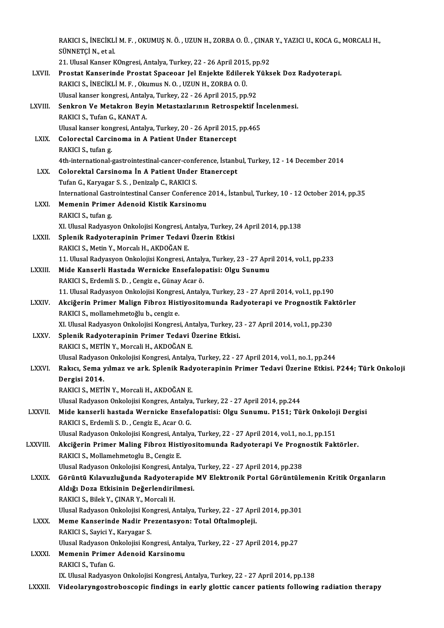|              | RAKICI S., İNECİKLİ M. F., OKUMUŞ N. Ö., UZUN H., ZORBA O. Ü., ÇINAR Y., YAZICI U., KOCA G., MORCALI H., |
|--------------|----------------------------------------------------------------------------------------------------------|
|              | SÜNNETÇİ N., et al.                                                                                      |
|              | 21. Ulusal Kanser KOngresi, Antalya, Turkey, 22 - 26 April 2015, pp.92                                   |
| LXVII.       | Prostat Kanserinde Prostat Spaceoar Jel Enjekte Edilerek Yüksek Doz Radyoterapi.                         |
|              | RAKICI S., İNECİKLİ M. F., Okumus N. O., UZUN H., ZORBA O. Ü.                                            |
|              | Ulusal kanser kongresi, Antalya, Turkey, 22 - 26 April 2015, pp.92                                       |
| LXVIII.      | Senkron Ve Metakron Beyin Metastazlarının Retrospektif İncelenmesi.                                      |
|              | RAKICI S, Tufan G, KANAT A.                                                                              |
|              | Ulusal kanser kongresi, Antalya, Turkey, 20 - 26 April 2015, pp.465                                      |
| LXIX.        | Colorectal Carcinoma in A Patient Under Etanercept                                                       |
|              | RAKICI S., tufan g.                                                                                      |
|              | 4th-international-gastrointestinal-cancer-conference, İstanbul, Turkey, 12 - 14 December 2014            |
| LXX.         | Colorektal Carsinoma In A Patient Under Etanercept                                                       |
|              | Tufan G., Karyagar S. S., Denizalp C., RAKICI S.                                                         |
|              | International Gastrointestinal Canser Conference 2014., İstanbul, Turkey, 10 - 12 October 2014, pp.35    |
| LXXI.        | Memenin Primer Adenoid Kistik Karsinomu                                                                  |
|              | RAKICI S, tufan g                                                                                        |
|              | XI. Ulusal Radyasyon Onkolojisi Kongresi, Antalya, Turkey, 24 April 2014, pp.138                         |
| LXXII.       | Splenik Radyoterapinin Primer Tedavi Üzerin Etkisi                                                       |
|              | RAKICI S., Metin Y., Morcalı H., AKDOĞAN E.                                                              |
|              | 11. Ulusal Radyasyon Onkolojisi Kongresi, Antalya, Turkey, 23 - 27 April 2014, vol.1, pp.233             |
| LXXIII.      | Mide Kanserli Hastada Wernicke Ensefalopatisi: Olgu Sunumu                                               |
|              | RAKICI S., Erdemli S. D., Cengiz e., Günay Acar ö.                                                       |
|              | 11. Ulusal Radyasyon Onkolojisi Kongresi, Antalya, Turkey, 23 - 27 April 2014, vol.1, pp.190             |
| <b>LXXIV</b> | Akciğerin Primer Malign Fibroz Histiyositomunda Radyoterapi ve Prognostik Faktörler                      |
|              | RAKICI S., mollamehmetoğlu b., cengiz e.                                                                 |
|              | XI. Ulusal Radyasyon Onkolojisi Kongresi, Antalya, Turkey, 23 - 27 April 2014, vol.1, pp.230             |
| <b>LXXV</b>  | Splenik Radyoterapinin Primer Tedavi Üzerine Etkisi.<br>RAKICI S. METİN Y. Morcali H. AKDOĞAN E.         |
|              | Ulusal Radyason Onkolojisi Kongresi, Antalya, Turkey, 22 - 27 April 2014, vol.1, no.1, pp.244            |
| LXXVI.       | Rakıcı, Sema yılmaz ve ark. Splenik Radyoterapinin Primer Tedavi Üzerine Etkisi. P244; Türk Onkoloji     |
|              | Dergisi 2014.                                                                                            |
|              | RAKICI S., METİN Y., Morcali H., AKDOĞAN E.                                                              |
|              | Ulusal Radyason Onkolojisi Kongres, Antalya, Turkey, 22 - 27 April 2014, pp.244                          |
| LXXVII.      | Mide kanserli hastada Wernicke Ensefalopatisi: Olgu Sunumu. P151; Türk Onkoloji Dergisi                  |
|              | RAKICI S., Erdemli S. D., Cengiz E., Acar O. G.                                                          |
|              | Ulusal Radyason Onkolojisi Kongresi, Antalya, Turkey, 22 - 27 April 2014, vol.1, no.1, pp.151            |
| LXXVIII.     | Akciğerin Primer Maling Fibroz Histiyositomunda Radyoterapi Ve Prognostik Faktörler.                     |
|              | RAKICI S., Mollamehmetoglu B., Cengiz E.                                                                 |
|              | Ulusal Radyason Onkolojisi Kongresi, Antalya, Turkey, 22 - 27 April 2014, pp.238                         |
| <b>LXXIX</b> | Görüntü Kılavuzluğunda Radyoterapide MV Elektronik Portal Görüntülemenin Kritik Organların               |
|              | Aldığı Doza Etkisinin Değerlendirilmesi.                                                                 |
|              | RAKICI S., Bilek Y., ÇINAR Y., Morcali H.                                                                |
|              | Ulusal Radyason Onkolojisi Kongresi, Antalya, Turkey, 22 - 27 April 2014, pp.301                         |
| LXXX.        | Meme Kanserinde Nadir Prezentasyon: Total Oftalmopleji.                                                  |
|              | RAKICI S., Sayici Y., Karyagar S.                                                                        |
|              | Ulusal Radyason Onkolojisi Kongresi, Antalya, Turkey, 22 - 27 April 2014, pp.27                          |
| <b>LXXXI</b> | Memenin Primer Adenoid Karsinomu                                                                         |
|              | RAKICI S., Tufan G.                                                                                      |
|              | IX. Ulusal Radyasyon Onkolojisi Kongresi, Antalya, Turkey, 22 - 27 April 2014, pp.138                    |
| LXXXII.      | Videolaryngostroboscopic findings in early glottic cancer patients following radiation therapy           |
|              |                                                                                                          |